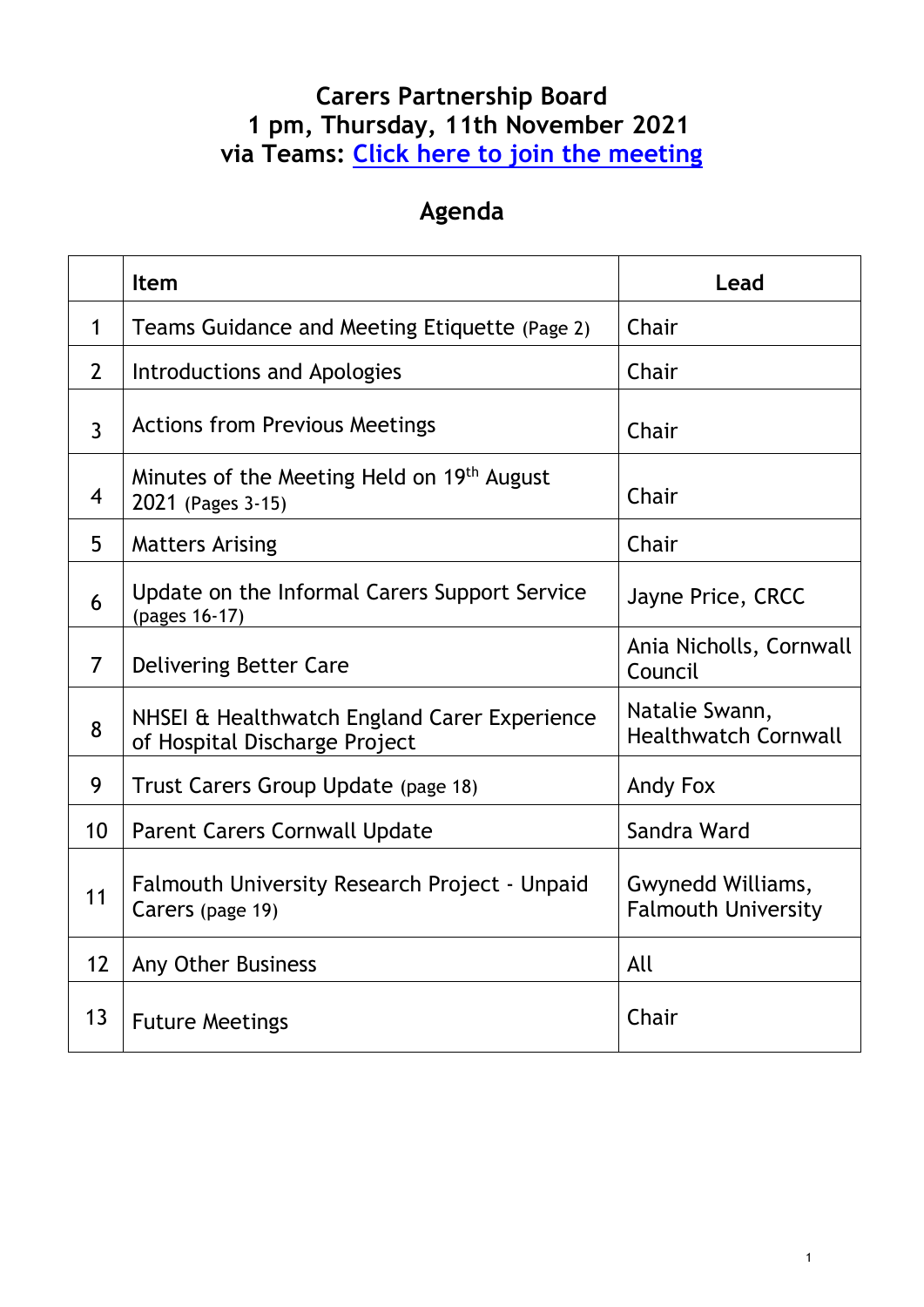### **Carers Partnership Board 1 pm, Thursday, 11th November 2021 via Teams: [Click here to join the meeting](https://teams.microsoft.com/l/meetup-join/19%3ameeting_YTUxMjViZDAtNGY2MS00MDdlLThmY2UtNzE0YzZjOWRlOGY0%40thread.v2/0?context=%7b%22Tid%22%3a%22e20cfbfd-39e3-476a-9d0f-e19b297eac2a%22%2c%22Oid%22%3a%22ec6b8ddc-d9e1-4a26-81ca-5c7232e137e0%22%7d)**

### **Agenda**

|                | Item                                                                          | Lead                                            |
|----------------|-------------------------------------------------------------------------------|-------------------------------------------------|
| $\mathbf 1$    | Teams Guidance and Meeting Etiquette (Page 2)                                 | Chair                                           |
| $\overline{2}$ | Introductions and Apologies                                                   | Chair                                           |
| $\overline{3}$ | <b>Actions from Previous Meetings</b>                                         | Chair                                           |
| $\overline{4}$ | Minutes of the Meeting Held on 19th August<br>2021 (Pages 3-15)               | Chair                                           |
| 5              | <b>Matters Arising</b>                                                        | Chair                                           |
| 6              | Update on the Informal Carers Support Service<br>(pages 16-17)                | Jayne Price, CRCC                               |
| $\overline{7}$ | Delivering Better Care                                                        | Ania Nicholls, Cornwall<br>Council              |
| 8              | NHSEI & Healthwatch England Carer Experience<br>of Hospital Discharge Project | Natalie Swann,<br><b>Healthwatch Cornwall</b>   |
| 9              | Trust Carers Group Update (page 18)                                           | Andy Fox                                        |
| 10             | <b>Parent Carers Cornwall Update</b>                                          | Sandra Ward                                     |
| 11             | Falmouth University Research Project - Unpaid<br>Carers (page 19)             | Gwynedd Williams,<br><b>Falmouth University</b> |
| 12             | Any Other Business                                                            | All                                             |
| 13             | <b>Future Meetings</b>                                                        | Chair                                           |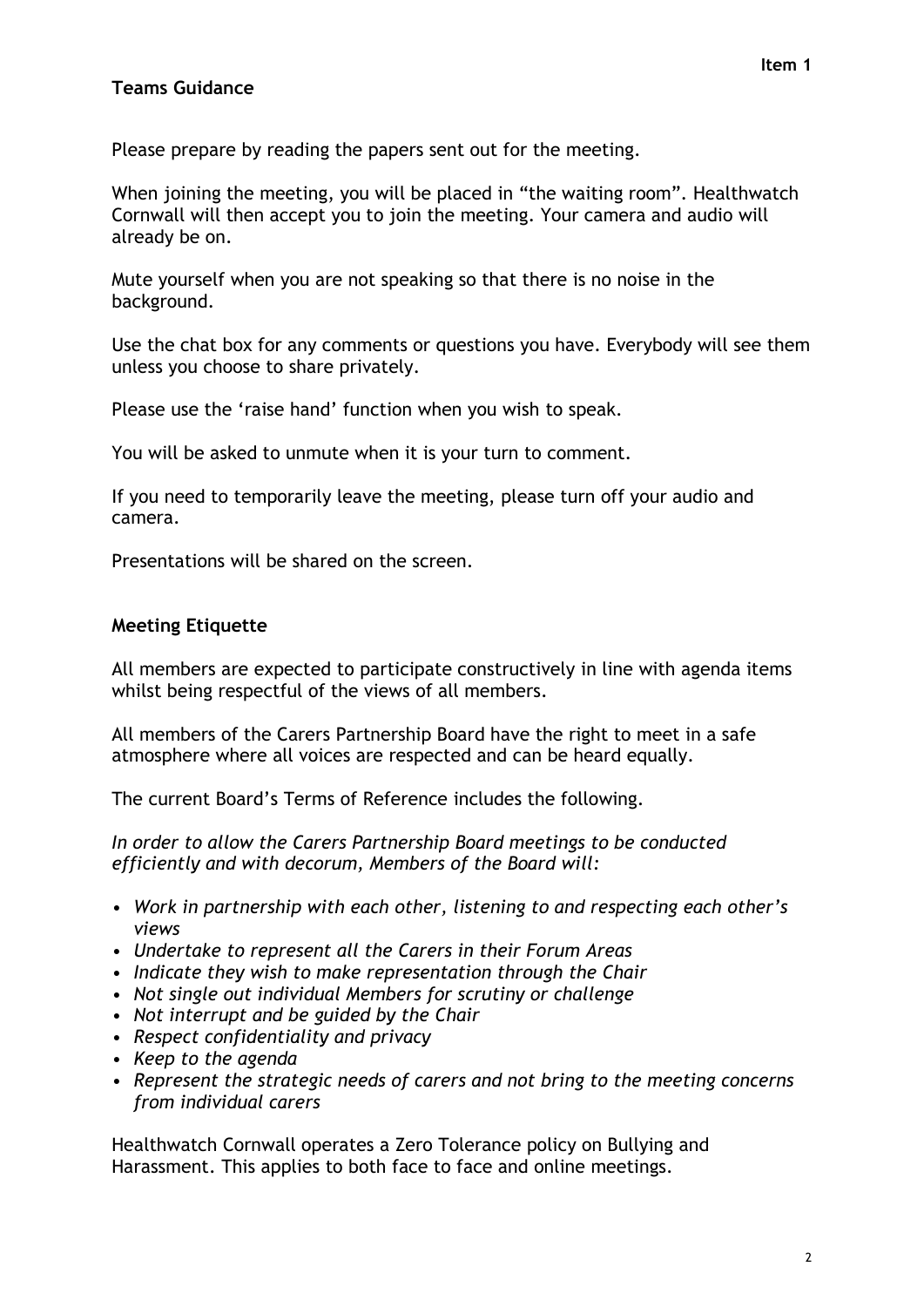#### **Teams Guidance**

Please prepare by reading the papers sent out for the meeting.

When joining the meeting, you will be placed in "the waiting room". Healthwatch Cornwall will then accept you to join the meeting. Your camera and audio will already be on.

Mute yourself when you are not speaking so that there is no noise in the background.

Use the chat box for any comments or questions you have. Everybody will see them unless you choose to share privately.

Please use the 'raise hand' function when you wish to speak.

You will be asked to unmute when it is your turn to comment.

If you need to temporarily leave the meeting, please turn off your audio and camera.

Presentations will be shared on the screen.

#### **Meeting Etiquette**

All members are expected to participate constructively in line with agenda items whilst being respectful of the views of all members.

All members of the Carers Partnership Board have the right to meet in a safe atmosphere where all voices are respected and can be heard equally.

The current Board's Terms of Reference includes the following.

*In order to allow the Carers Partnership Board meetings to be conducted efficiently and with decorum, Members of the Board will:*

- *• Work in partnership with each other, listening to and respecting each other's views*
- *• Undertake to represent all the Carers in their Forum Areas*
- *• Indicate they wish to make representation through the Chair*
- *• Not single out individual Members for scrutiny or challenge*
- *• Not interrupt and be guided by the Chair*
- *• Respect confidentiality and privacy*
- *• Keep to the agenda*
- *• Represent the strategic needs of carers and not bring to the meeting concerns from individual carers*

Healthwatch Cornwall operates a Zero Tolerance policy on Bullying and Harassment. This applies to both face to face and online meetings.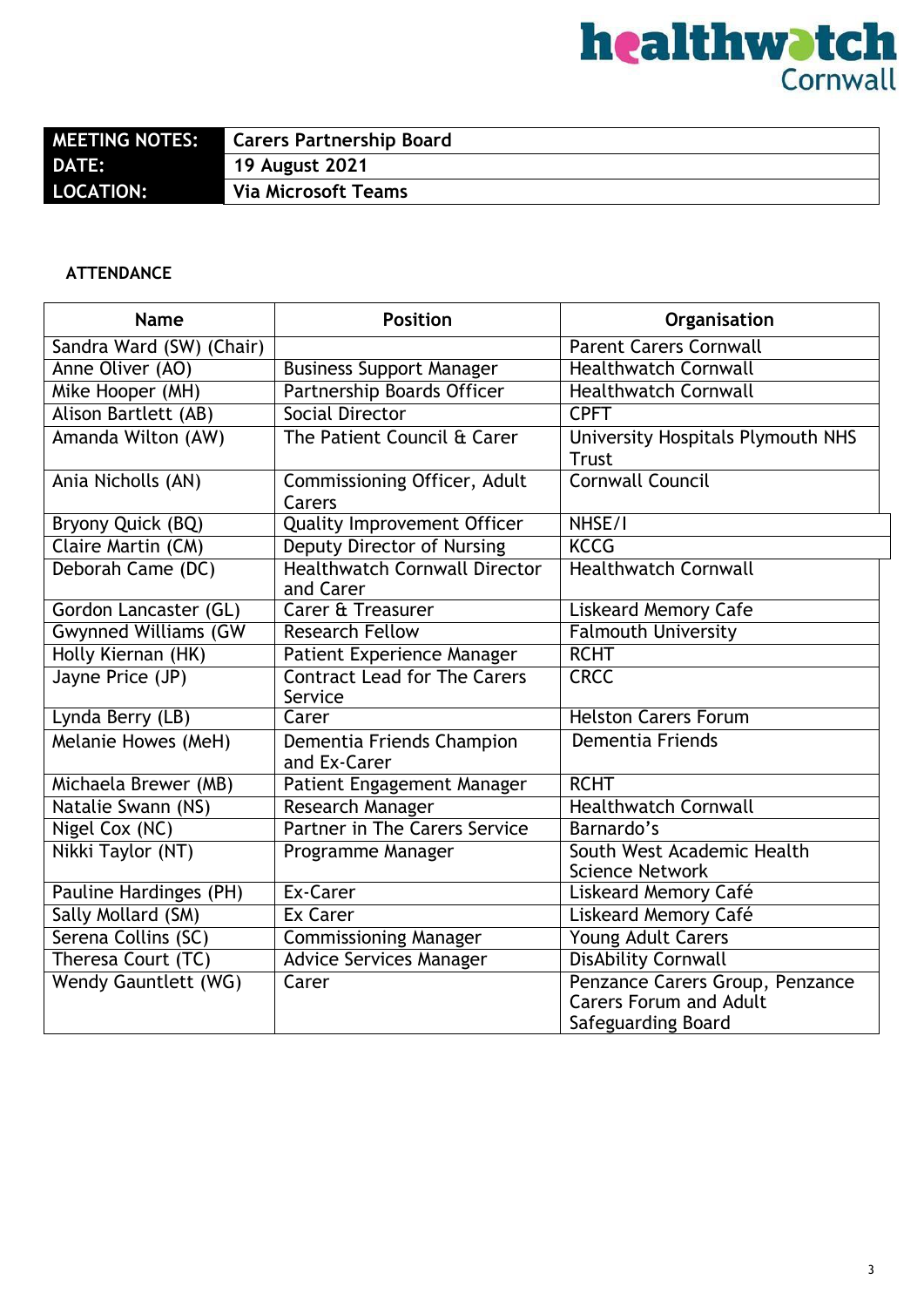# **healthwatch**<br>Cornwall

| <b>MEETING NOTES:</b> | <b>Carers Partnership Board</b> |
|-----------------------|---------------------------------|
| <b>DATE:</b>          | <b>19 August 2021</b>           |
| <b>LOCATION:</b>      | <b>Via Microsoft Teams</b>      |
|                       |                                 |

#### **ATTENDANCE**

| <b>Name</b>                 | <b>Position</b>                                   | Organisation                                                                           |
|-----------------------------|---------------------------------------------------|----------------------------------------------------------------------------------------|
| Sandra Ward (SW) (Chair)    |                                                   | <b>Parent Carers Cornwall</b>                                                          |
| Anne Oliver (AO)            | <b>Business Support Manager</b>                   | <b>Healthwatch Cornwall</b>                                                            |
| Mike Hooper (MH)            | Partnership Boards Officer                        | <b>Healthwatch Cornwall</b>                                                            |
| <b>Alison Bartlett (AB)</b> | Social Director                                   | <b>CPFT</b>                                                                            |
| Amanda Wilton (AW)          | The Patient Council & Carer                       | University Hospitals Plymouth NHS<br><b>Trust</b>                                      |
| Ania Nicholls (AN)          | Commissioning Officer, Adult<br>Carers            | <b>Cornwall Council</b>                                                                |
| Bryony Quick (BQ)           | <b>Quality Improvement Officer</b>                | NHSE/I                                                                                 |
| Claire Martin (CM)          | <b>Deputy Director of Nursing</b>                 | <b>KCCG</b>                                                                            |
| Deborah Came (DC)           | <b>Healthwatch Cornwall Director</b><br>and Carer | <b>Healthwatch Cornwall</b>                                                            |
| Gordon Lancaster (GL)       | <b>Carer &amp; Treasurer</b>                      | <b>Liskeard Memory Cafe</b>                                                            |
| <b>Gwynned Williams (GW</b> | <b>Research Fellow</b>                            | <b>Falmouth University</b>                                                             |
| Holly Kiernan (HK)          | Patient Experience Manager                        | <b>RCHT</b>                                                                            |
| Jayne Price (JP)            | <b>Contract Lead for The Carers</b><br>Service    | <b>CRCC</b>                                                                            |
| Lynda Berry (LB)            | Carer                                             | <b>Helston Carers Forum</b>                                                            |
| Melanie Howes (MeH)         | Dementia Friends Champion<br>and Ex-Carer         | <b>Dementia Friends</b>                                                                |
| Michaela Brewer (MB)        | Patient Engagement Manager                        | <b>RCHT</b>                                                                            |
| Natalie Swann (NS)          | Research Manager                                  | <b>Healthwatch Cornwall</b>                                                            |
| Nigel Cox (NC)              | Partner in The Carers Service                     | Barnardo's                                                                             |
| Nikki Taylor (NT)           | Programme Manager                                 | South West Academic Health<br><b>Science Network</b>                                   |
| Pauline Hardinges (PH)      | Ex-Carer                                          | Liskeard Memory Café                                                                   |
| Sally Mollard (SM)          | <b>Ex Carer</b>                                   | Liskeard Memory Café                                                                   |
| Serena Collins (SC)         | <b>Commissioning Manager</b>                      | Young Adult Carers                                                                     |
| Theresa Court (TC)          | <b>Advice Services Manager</b>                    | <b>DisAbility Cornwall</b>                                                             |
| Wendy Gauntlett (WG)        | Carer                                             | Penzance Carers Group, Penzance<br><b>Carers Forum and Adult</b><br>Safeguarding Board |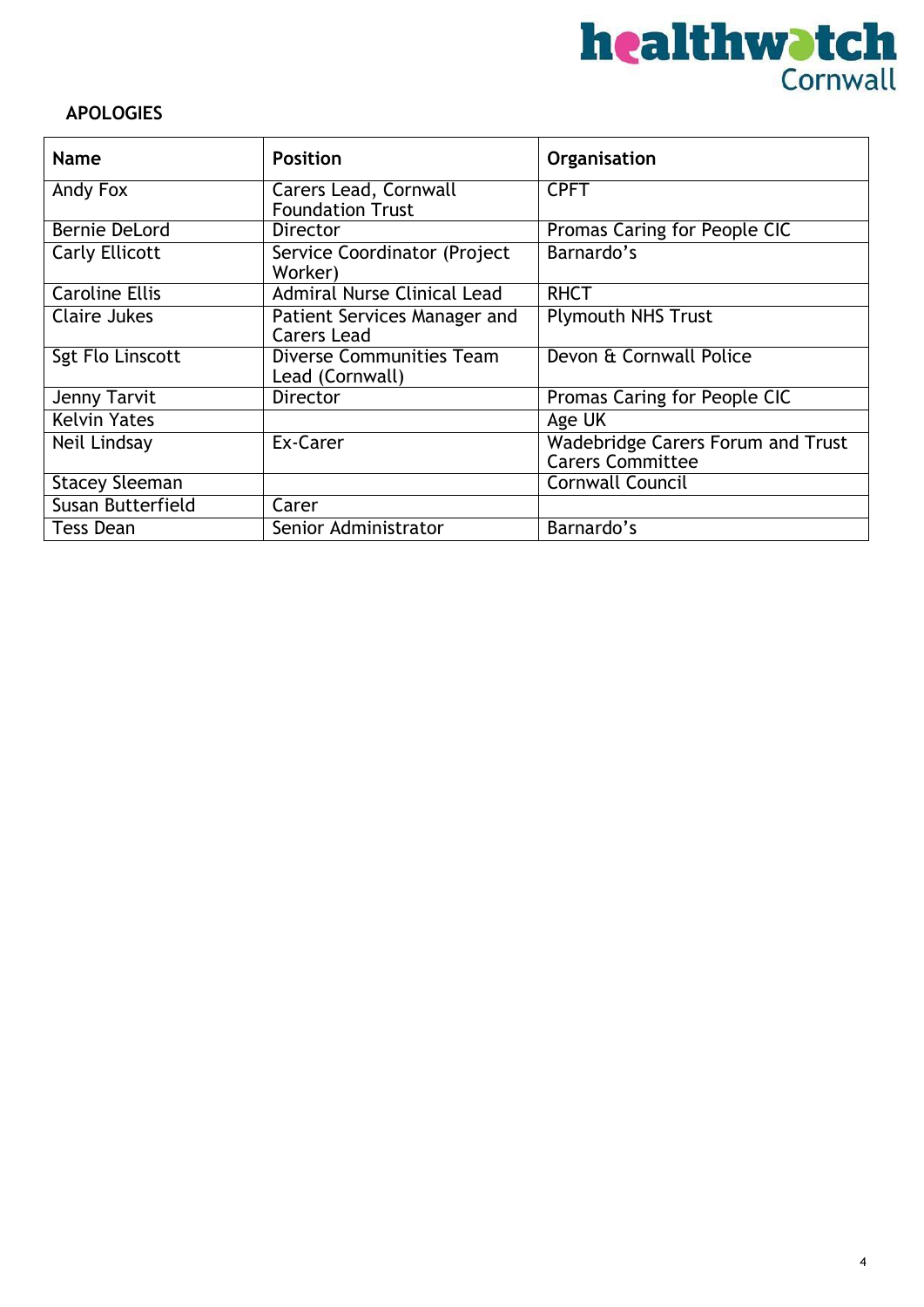

#### **APOLOGIES**

| <b>Name</b>           | <b>Position</b>                                         | Organisation                                                        |
|-----------------------|---------------------------------------------------------|---------------------------------------------------------------------|
| Andy Fox              | <b>Carers Lead, Cornwall</b><br><b>Foundation Trust</b> | <b>CPFT</b>                                                         |
| Bernie DeLord         | <b>Director</b>                                         | Promas Caring for People CIC                                        |
| Carly Ellicott        | Service Coordinator (Project<br>Worker)                 | Barnardo's                                                          |
| <b>Caroline Ellis</b> | <b>Admiral Nurse Clinical Lead</b>                      | <b>RHCT</b>                                                         |
| Claire Jukes          | Patient Services Manager and<br><b>Carers Lead</b>      | <b>Plymouth NHS Trust</b>                                           |
| Sgt Flo Linscott      | Diverse Communities Team<br>Lead (Cornwall)             | Devon & Cornwall Police                                             |
| Jenny Tarvit          | <b>Director</b>                                         | Promas Caring for People CIC                                        |
| <b>Kelvin Yates</b>   |                                                         | Age UK                                                              |
| Neil Lindsay          | Ex-Carer                                                | <b>Wadebridge Carers Forum and Trust</b><br><b>Carers Committee</b> |
| <b>Stacey Sleeman</b> |                                                         | <b>Cornwall Council</b>                                             |
| Susan Butterfield     | Carer                                                   |                                                                     |
| Tess Dean             | Senior Administrator                                    | Barnardo's                                                          |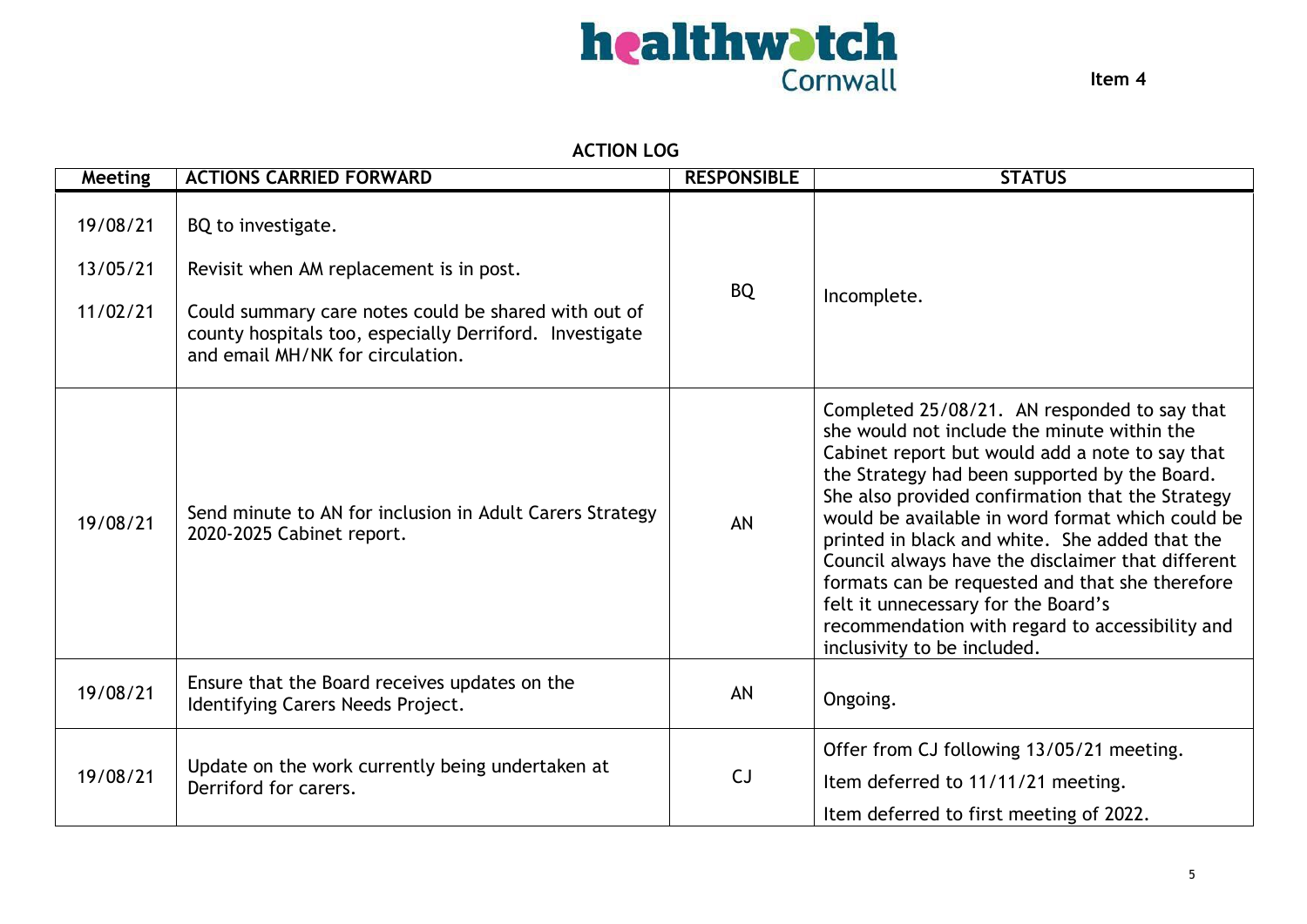

**Item 4**

#### **ACTION LOG**

| <b>Meeting</b>                   | <b>ACTIONS CARRIED FORWARD</b>                                                                                                                                                                                       | <b>RESPONSIBLE</b> | <b>STATUS</b>                                                                                                                                                                                                                                                                                                                                                                                                                                                                                                                                                                              |
|----------------------------------|----------------------------------------------------------------------------------------------------------------------------------------------------------------------------------------------------------------------|--------------------|--------------------------------------------------------------------------------------------------------------------------------------------------------------------------------------------------------------------------------------------------------------------------------------------------------------------------------------------------------------------------------------------------------------------------------------------------------------------------------------------------------------------------------------------------------------------------------------------|
| 19/08/21<br>13/05/21<br>11/02/21 | BQ to investigate.<br>Revisit when AM replacement is in post.<br>Could summary care notes could be shared with out of<br>county hospitals too, especially Derriford. Investigate<br>and email MH/NK for circulation. | <b>BQ</b>          | Incomplete.                                                                                                                                                                                                                                                                                                                                                                                                                                                                                                                                                                                |
| 19/08/21                         | Send minute to AN for inclusion in Adult Carers Strategy<br>2020-2025 Cabinet report.                                                                                                                                | AN                 | Completed 25/08/21. AN responded to say that<br>she would not include the minute within the<br>Cabinet report but would add a note to say that<br>the Strategy had been supported by the Board.<br>She also provided confirmation that the Strategy<br>would be available in word format which could be<br>printed in black and white. She added that the<br>Council always have the disclaimer that different<br>formats can be requested and that she therefore<br>felt it unnecessary for the Board's<br>recommendation with regard to accessibility and<br>inclusivity to be included. |
| 19/08/21                         | Ensure that the Board receives updates on the<br>Identifying Carers Needs Project.                                                                                                                                   | AN                 | Ongoing.                                                                                                                                                                                                                                                                                                                                                                                                                                                                                                                                                                                   |
| 19/08/21                         | Update on the work currently being undertaken at<br>Derriford for carers.                                                                                                                                            | CJ                 | Offer from CJ following 13/05/21 meeting.<br>Item deferred to 11/11/21 meeting.<br>Item deferred to first meeting of 2022.                                                                                                                                                                                                                                                                                                                                                                                                                                                                 |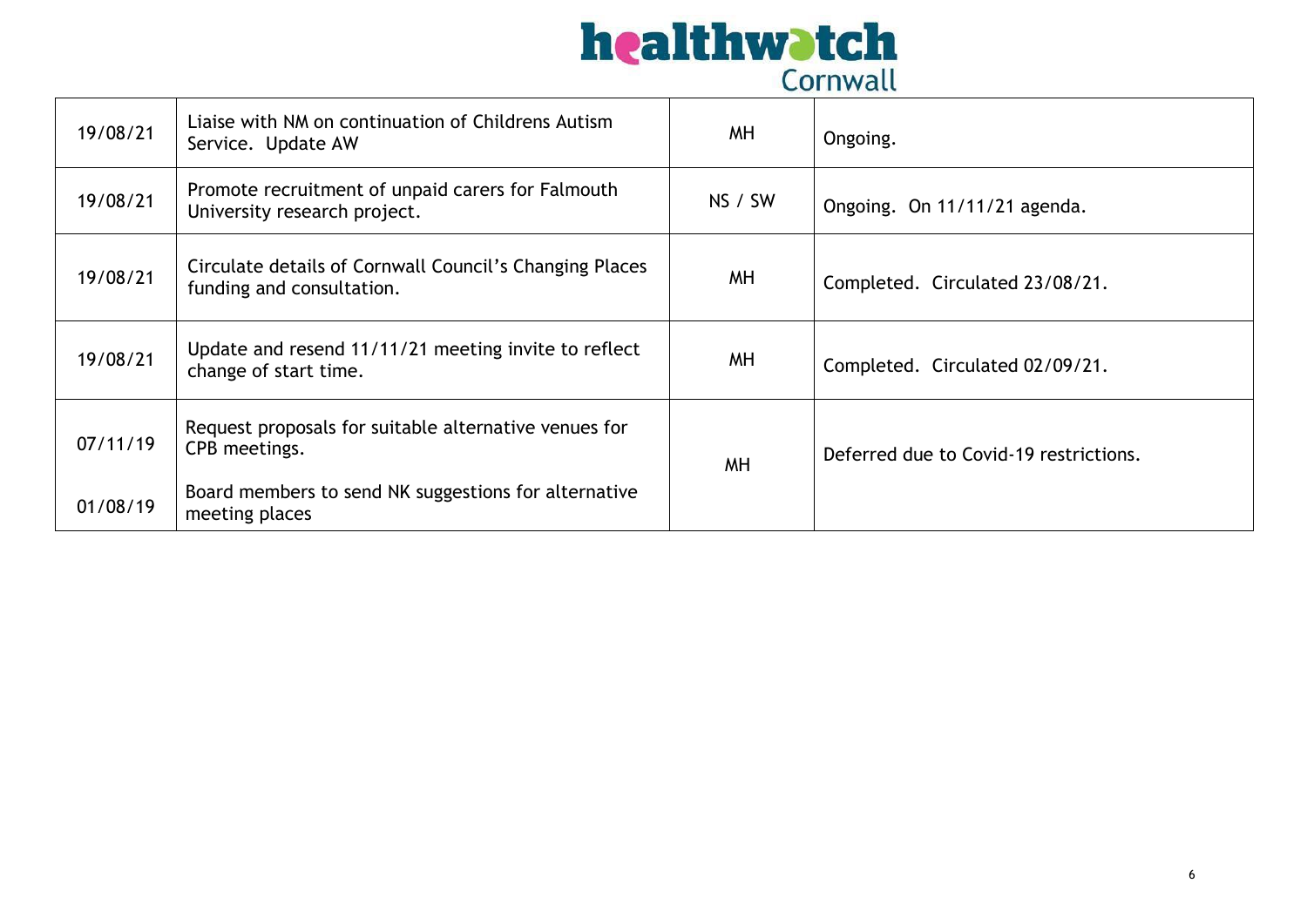| 19/08/21 | Liaise with NM on continuation of Childrens Autism<br>Service. Update AW             | <b>MH</b> | Ongoing.                               |
|----------|--------------------------------------------------------------------------------------|-----------|----------------------------------------|
| 19/08/21 | Promote recruitment of unpaid carers for Falmouth<br>University research project.    | NS / SW   | Ongoing. On 11/11/21 agenda.           |
| 19/08/21 | Circulate details of Cornwall Council's Changing Places<br>funding and consultation. | <b>MH</b> | Completed. Circulated 23/08/21.        |
| 19/08/21 | Update and resend 11/11/21 meeting invite to reflect<br>change of start time.        | <b>MH</b> | Completed. Circulated 02/09/21.        |
| 07/11/19 | Request proposals for suitable alternative venues for<br>CPB meetings.               | <b>MH</b> | Deferred due to Covid-19 restrictions. |
| 01/08/19 | Board members to send NK suggestions for alternative<br>meeting places               |           |                                        |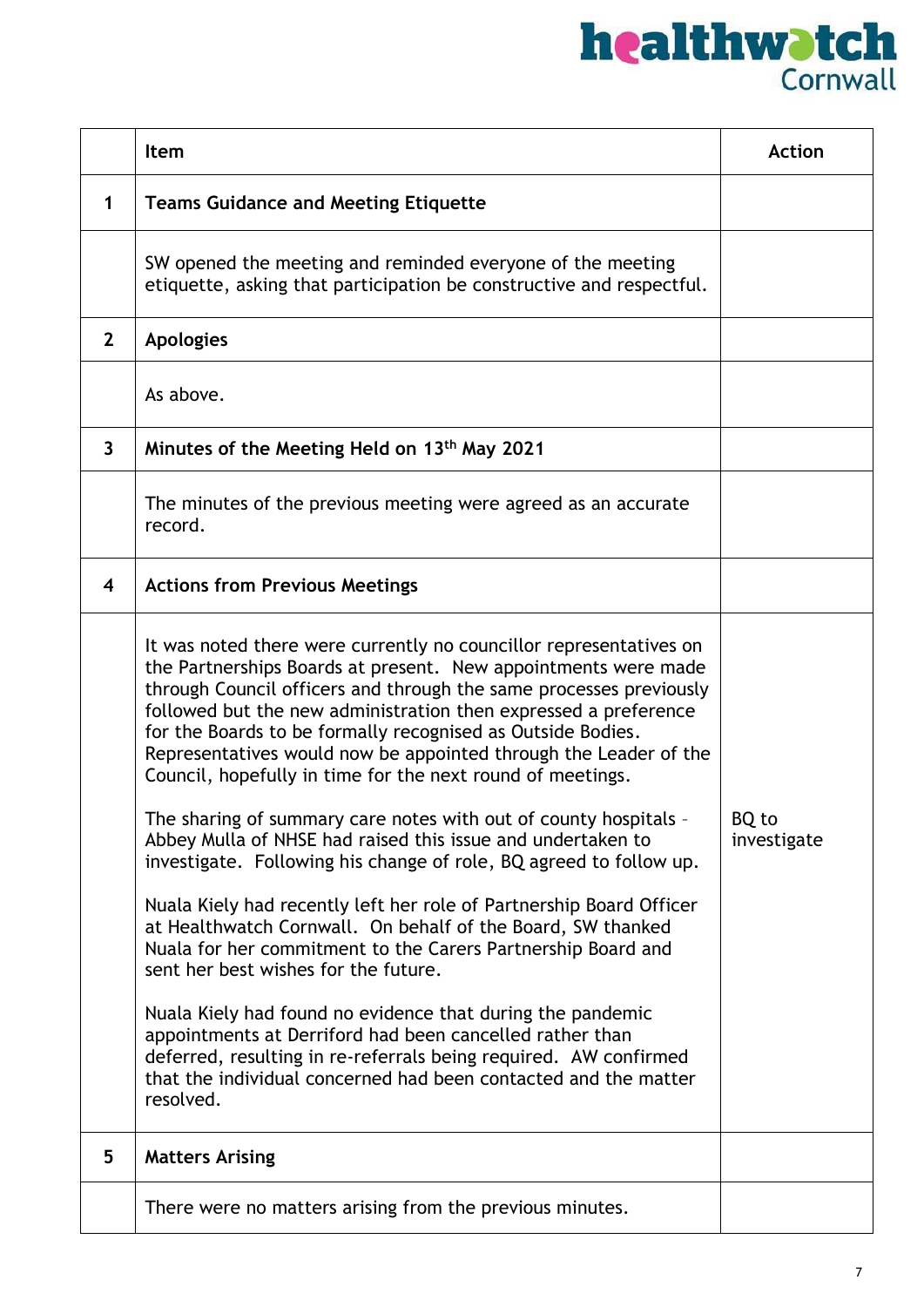|                | Item                                                                                                                                                                                                                                                                                                                                                                                                                                                                           | <b>Action</b>        |
|----------------|--------------------------------------------------------------------------------------------------------------------------------------------------------------------------------------------------------------------------------------------------------------------------------------------------------------------------------------------------------------------------------------------------------------------------------------------------------------------------------|----------------------|
| $\mathbf 1$    | <b>Teams Guidance and Meeting Etiquette</b>                                                                                                                                                                                                                                                                                                                                                                                                                                    |                      |
|                | SW opened the meeting and reminded everyone of the meeting<br>etiquette, asking that participation be constructive and respectful.                                                                                                                                                                                                                                                                                                                                             |                      |
| $\overline{2}$ | <b>Apologies</b>                                                                                                                                                                                                                                                                                                                                                                                                                                                               |                      |
|                | As above.                                                                                                                                                                                                                                                                                                                                                                                                                                                                      |                      |
| 3              | Minutes of the Meeting Held on 13th May 2021                                                                                                                                                                                                                                                                                                                                                                                                                                   |                      |
|                | The minutes of the previous meeting were agreed as an accurate<br>record.                                                                                                                                                                                                                                                                                                                                                                                                      |                      |
| 4              | <b>Actions from Previous Meetings</b>                                                                                                                                                                                                                                                                                                                                                                                                                                          |                      |
|                | It was noted there were currently no councillor representatives on<br>the Partnerships Boards at present. New appointments were made<br>through Council officers and through the same processes previously<br>followed but the new administration then expressed a preference<br>for the Boards to be formally recognised as Outside Bodies.<br>Representatives would now be appointed through the Leader of the<br>Council, hopefully in time for the next round of meetings. |                      |
|                | The sharing of summary care notes with out of county hospitals -<br>Abbey Mulla of NHSE had raised this issue and undertaken to<br>investigate. Following his change of role, BQ agreed to follow up.                                                                                                                                                                                                                                                                          | BO to<br>investigate |
|                | Nuala Kiely had recently left her role of Partnership Board Officer<br>at Healthwatch Cornwall. On behalf of the Board, SW thanked<br>Nuala for her commitment to the Carers Partnership Board and<br>sent her best wishes for the future.                                                                                                                                                                                                                                     |                      |
|                | Nuala Kiely had found no evidence that during the pandemic<br>appointments at Derriford had been cancelled rather than<br>deferred, resulting in re-referrals being required. AW confirmed<br>that the individual concerned had been contacted and the matter<br>resolved.                                                                                                                                                                                                     |                      |
| 5              | <b>Matters Arising</b>                                                                                                                                                                                                                                                                                                                                                                                                                                                         |                      |
|                | There were no matters arising from the previous minutes.                                                                                                                                                                                                                                                                                                                                                                                                                       |                      |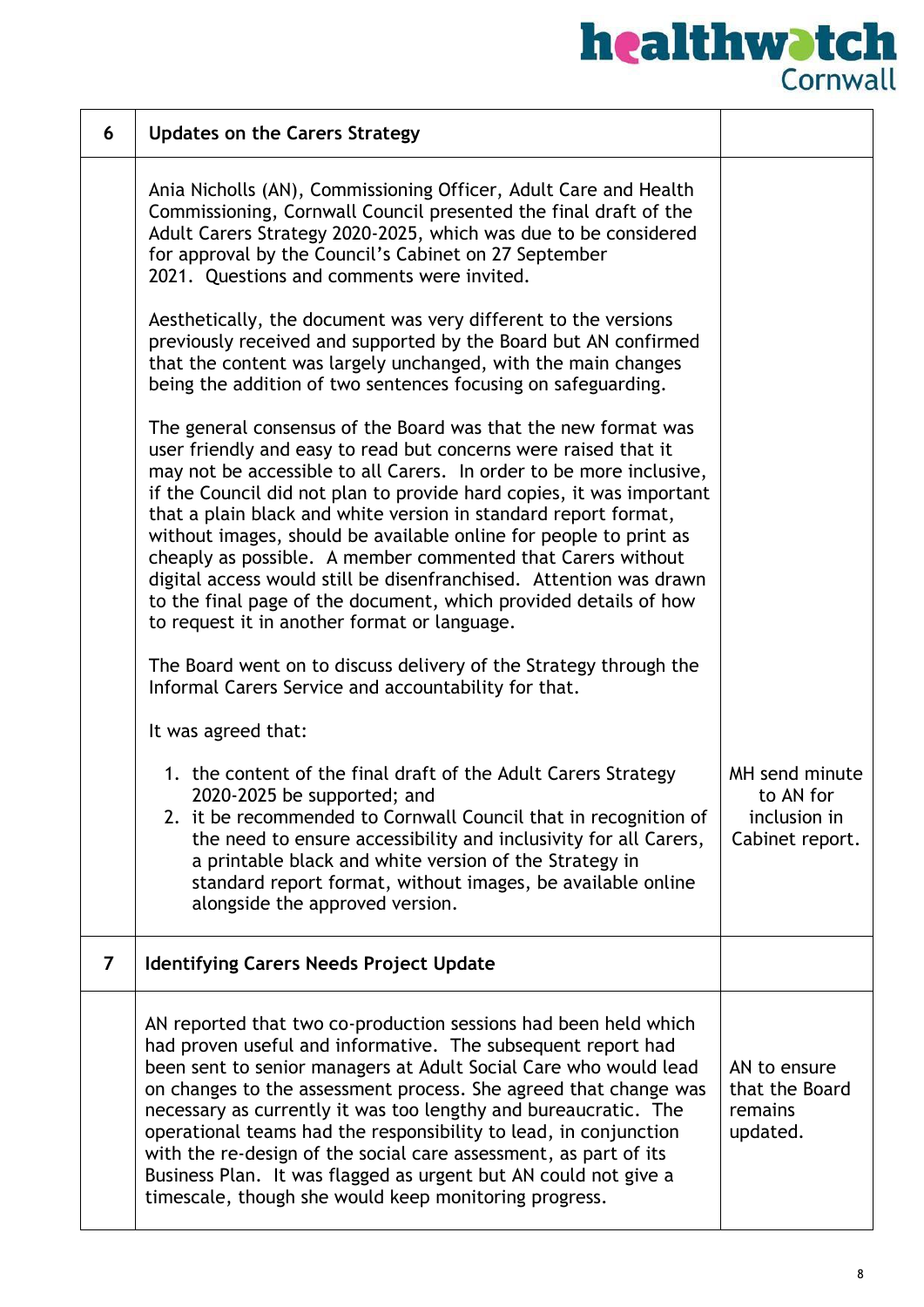| 6              | <b>Updates on the Carers Strategy</b>                                                                                                                                                                                                                                                                                                                                                                                                                                                                                                                                                                                                                                             |                                                                |
|----------------|-----------------------------------------------------------------------------------------------------------------------------------------------------------------------------------------------------------------------------------------------------------------------------------------------------------------------------------------------------------------------------------------------------------------------------------------------------------------------------------------------------------------------------------------------------------------------------------------------------------------------------------------------------------------------------------|----------------------------------------------------------------|
|                | Ania Nicholls (AN), Commissioning Officer, Adult Care and Health<br>Commissioning, Cornwall Council presented the final draft of the<br>Adult Carers Strategy 2020-2025, which was due to be considered<br>for approval by the Council's Cabinet on 27 September<br>2021. Questions and comments were invited.                                                                                                                                                                                                                                                                                                                                                                    |                                                                |
|                | Aesthetically, the document was very different to the versions<br>previously received and supported by the Board but AN confirmed<br>that the content was largely unchanged, with the main changes<br>being the addition of two sentences focusing on safeguarding.                                                                                                                                                                                                                                                                                                                                                                                                               |                                                                |
|                | The general consensus of the Board was that the new format was<br>user friendly and easy to read but concerns were raised that it<br>may not be accessible to all Carers. In order to be more inclusive,<br>if the Council did not plan to provide hard copies, it was important<br>that a plain black and white version in standard report format,<br>without images, should be available online for people to print as<br>cheaply as possible. A member commented that Carers without<br>digital access would still be disenfranchised. Attention was drawn<br>to the final page of the document, which provided details of how<br>to request it in another format or language. |                                                                |
|                | The Board went on to discuss delivery of the Strategy through the<br>Informal Carers Service and accountability for that.                                                                                                                                                                                                                                                                                                                                                                                                                                                                                                                                                         |                                                                |
|                | It was agreed that:                                                                                                                                                                                                                                                                                                                                                                                                                                                                                                                                                                                                                                                               |                                                                |
|                | 1. the content of the final draft of the Adult Carers Strategy<br>2020-2025 be supported; and<br>2. it be recommended to Cornwall Council that in recognition of<br>the need to ensure accessibility and inclusivity for all Carers,<br>a printable black and white version of the Strategy in<br>standard report format, without images, be available online<br>alongside the approved version.                                                                                                                                                                                                                                                                                  | MH send minute<br>to AN for<br>inclusion in<br>Cabinet report. |
| $\overline{7}$ | <b>Identifying Carers Needs Project Update</b>                                                                                                                                                                                                                                                                                                                                                                                                                                                                                                                                                                                                                                    |                                                                |
|                | AN reported that two co-production sessions had been held which<br>had proven useful and informative. The subsequent report had<br>been sent to senior managers at Adult Social Care who would lead<br>on changes to the assessment process. She agreed that change was<br>necessary as currently it was too lengthy and bureaucratic. The<br>operational teams had the responsibility to lead, in conjunction<br>with the re-design of the social care assessment, as part of its<br>Business Plan. It was flagged as urgent but AN could not give a<br>timescale, though she would keep monitoring progress.                                                                    | AN to ensure<br>that the Board<br>remains<br>updated.          |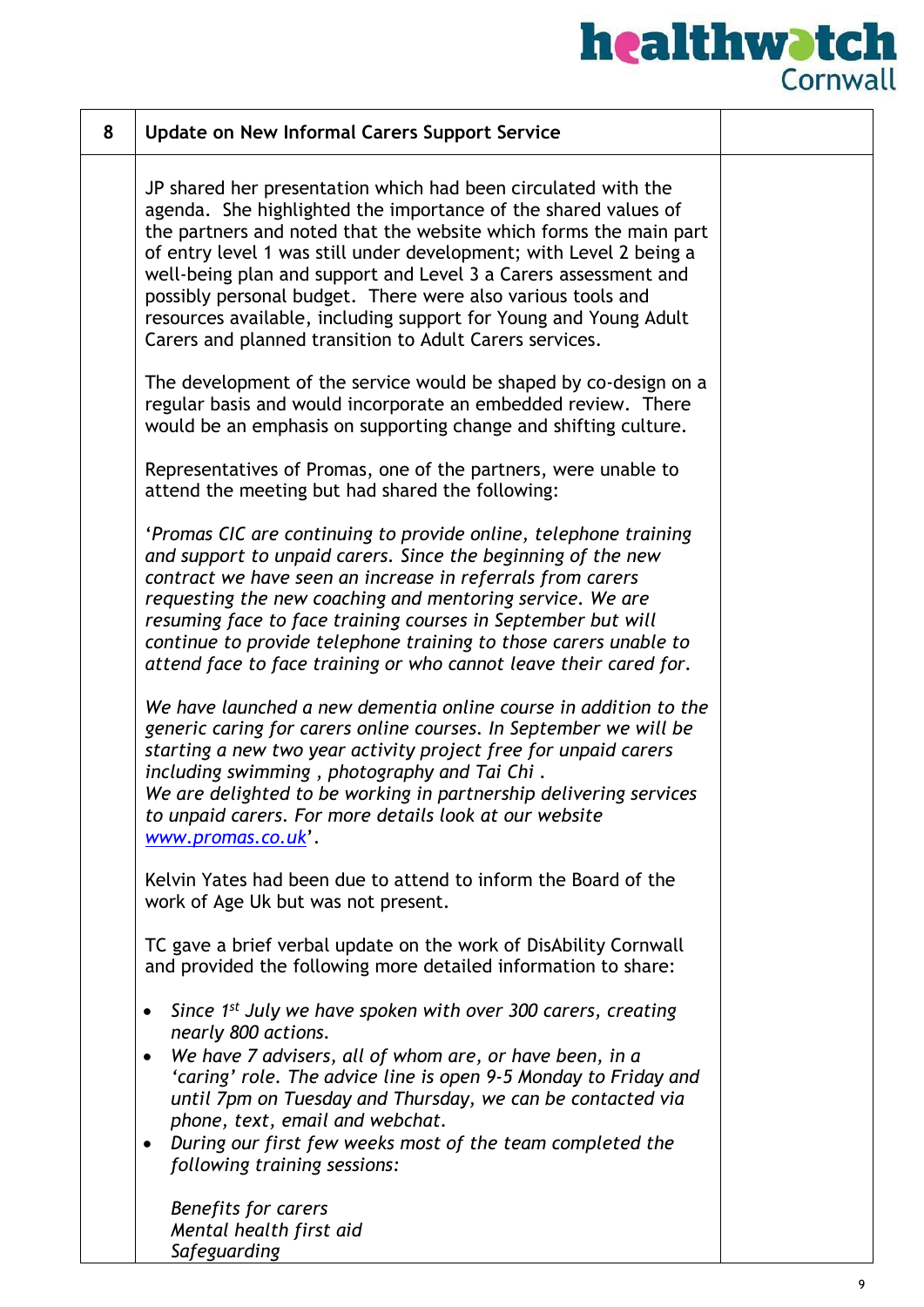| 8 | <b>Update on New Informal Carers Support Service</b>                                                                                                                                                                                                                                                                                                                                                                                                                                                                                        |  |
|---|---------------------------------------------------------------------------------------------------------------------------------------------------------------------------------------------------------------------------------------------------------------------------------------------------------------------------------------------------------------------------------------------------------------------------------------------------------------------------------------------------------------------------------------------|--|
|   | JP shared her presentation which had been circulated with the<br>agenda. She highlighted the importance of the shared values of<br>the partners and noted that the website which forms the main part<br>of entry level 1 was still under development; with Level 2 being a<br>well-being plan and support and Level 3 a Carers assessment and<br>possibly personal budget. There were also various tools and<br>resources available, including support for Young and Young Adult<br>Carers and planned transition to Adult Carers services. |  |
|   | The development of the service would be shaped by co-design on a<br>regular basis and would incorporate an embedded review. There<br>would be an emphasis on supporting change and shifting culture.                                                                                                                                                                                                                                                                                                                                        |  |
|   | Representatives of Promas, one of the partners, were unable to<br>attend the meeting but had shared the following:                                                                                                                                                                                                                                                                                                                                                                                                                          |  |
|   | 'Promas CIC are continuing to provide online, telephone training<br>and support to unpaid carers. Since the beginning of the new<br>contract we have seen an increase in referrals from carers<br>requesting the new coaching and mentoring service. We are<br>resuming face to face training courses in September but will<br>continue to provide telephone training to those carers unable to<br>attend face to face training or who cannot leave their cared for.                                                                        |  |
|   | We have launched a new dementia online course in addition to the<br>generic caring for carers online courses. In September we will be<br>starting a new two year activity project free for unpaid carers<br>including swimming, photography and Tai Chi.<br>We are delighted to be working in partnership delivering services<br>to unpaid carers. For more details look at our website<br>www.promas.co.uk'.                                                                                                                               |  |
|   | Kelvin Yates had been due to attend to inform the Board of the<br>work of Age Uk but was not present.                                                                                                                                                                                                                                                                                                                                                                                                                                       |  |
|   | TC gave a brief verbal update on the work of DisAbility Cornwall<br>and provided the following more detailed information to share:                                                                                                                                                                                                                                                                                                                                                                                                          |  |
|   | Since 1 <sup>st</sup> July we have spoken with over 300 carers, creating<br>$\bullet$<br>nearly 800 actions.<br>We have 7 advisers, all of whom are, or have been, in a<br>٠<br>'caring' role. The advice line is open 9-5 Monday to Friday and<br>until 7pm on Tuesday and Thursday, we can be contacted via<br>phone, text, email and webchat.<br>During our first few weeks most of the team completed the<br>following training sessions:                                                                                               |  |
|   | Benefits for carers<br>Mental health first aid<br>Safeguarding                                                                                                                                                                                                                                                                                                                                                                                                                                                                              |  |

ı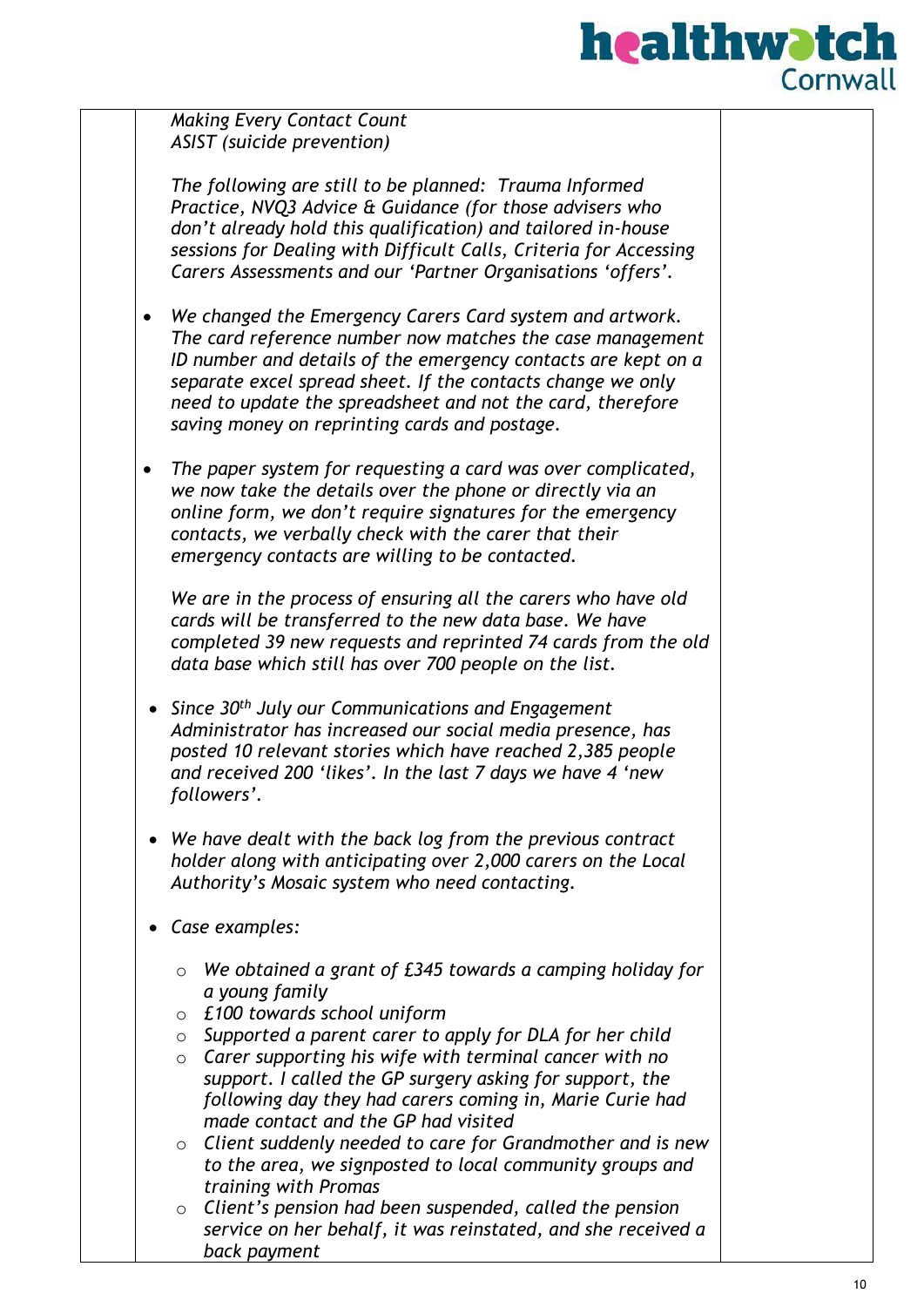

*Making Every Contact Count ASIST (suicide prevention)*

*The following are still to be planned: Trauma Informed Practice, NVQ3 Advice & Guidance (for those advisers who don't already hold this qualification) and tailored in-house sessions for Dealing with Difficult Calls, Criteria for Accessing Carers Assessments and our 'Partner Organisations 'offers'.* 

- *We changed the Emergency Carers Card system and artwork. The card reference number now matches the case management ID number and details of the emergency contacts are kept on a separate excel spread sheet. If the contacts change we only need to update the spreadsheet and not the card, therefore saving money on reprinting cards and postage.*
- *The paper system for requesting a card was over complicated, we now take the details over the phone or directly via an online form, we don't require signatures for the emergency contacts, we verbally check with the carer that their emergency contacts are willing to be contacted.*

*We are in the process of ensuring all the carers who have old cards will be transferred to the new data base. We have completed 39 new requests and reprinted 74 cards from the old data base which still has over 700 people on the list.*

- *Since 30th July our Communications and Engagement Administrator has increased our social media presence, has posted 10 relevant stories which have reached 2,385 people and received 200 'likes'. In the last 7 days we have 4 'new followers'.*
- *We have dealt with the back log from the previous contract holder along with anticipating over 2,000 carers on the Local Authority's Mosaic system who need contacting.*
- *Case examples:*
	- o *We obtained a grant of £345 towards a camping holiday for a young family*
	- o *£100 towards school uniform*
	- o *Supported a parent carer to apply for DLA for her child*
	- o *Carer supporting his wife with terminal cancer with no support. I called the GP surgery asking for support, the following day they had carers coming in, Marie Curie had made contact and the GP had visited*
	- o *Client suddenly needed to care for Grandmother and is new to the area, we signposted to local community groups and training with Promas*
	- o *Client's pension had been suspended, called the pension service on her behalf, it was reinstated, and she received a back payment*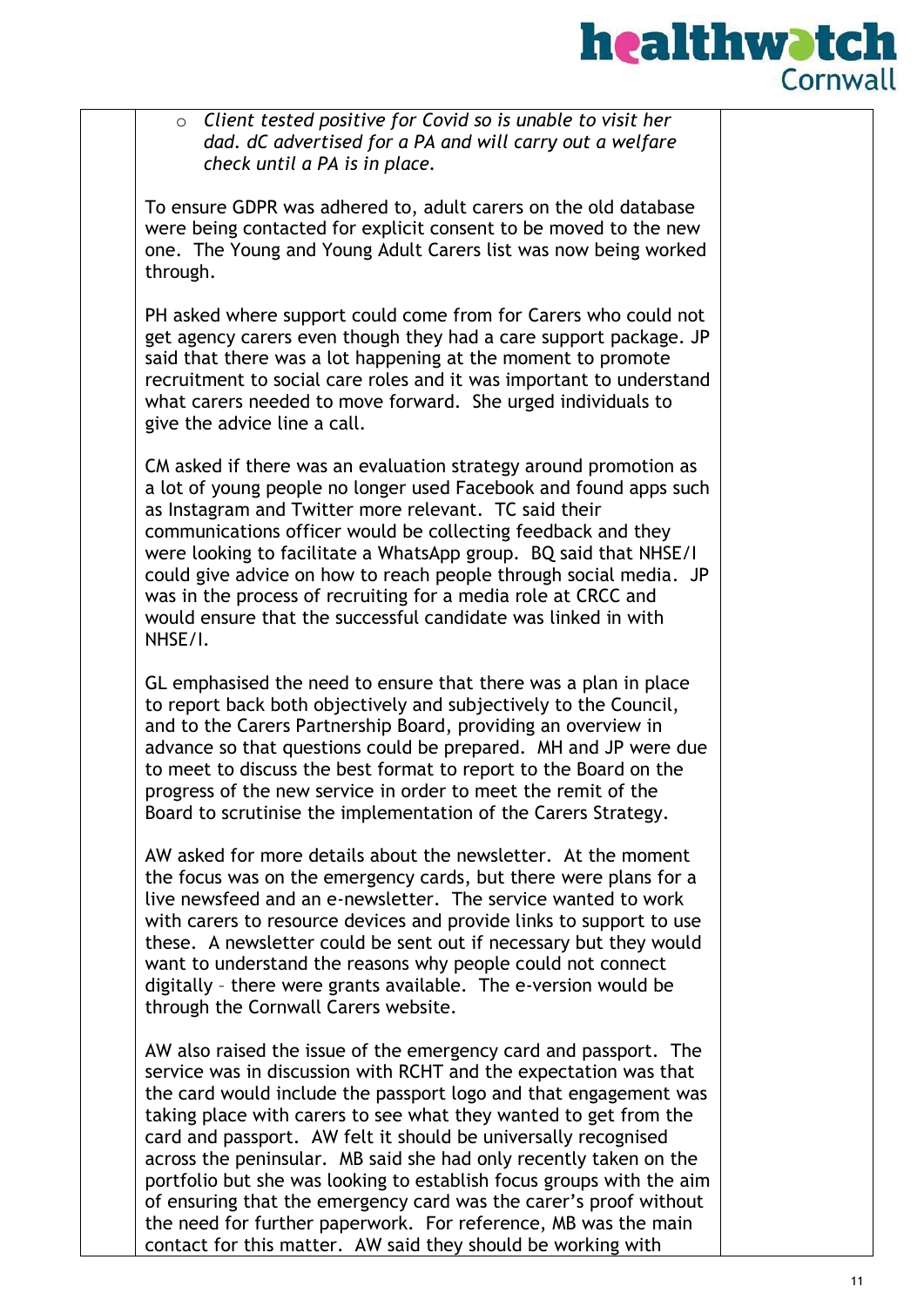

o *Client tested positive for Covid so is unable to visit her dad. dC advertised for a PA and will carry out a welfare check until a PA is in place.*

To ensure GDPR was adhered to, adult carers on the old database were being contacted for explicit consent to be moved to the new one. The Young and Young Adult Carers list was now being worked through.

PH asked where support could come from for Carers who could not get agency carers even though they had a care support package. JP said that there was a lot happening at the moment to promote recruitment to social care roles and it was important to understand what carers needed to move forward. She urged individuals to give the advice line a call.

CM asked if there was an evaluation strategy around promotion as a lot of young people no longer used Facebook and found apps such as Instagram and Twitter more relevant. TC said their communications officer would be collecting feedback and they were looking to facilitate a WhatsApp group. BQ said that NHSE/I could give advice on how to reach people through social media. JP was in the process of recruiting for a media role at CRCC and would ensure that the successful candidate was linked in with NHSE/I.

GL emphasised the need to ensure that there was a plan in place to report back both objectively and subjectively to the Council, and to the Carers Partnership Board, providing an overview in advance so that questions could be prepared. MH and JP were due to meet to discuss the best format to report to the Board on the progress of the new service in order to meet the remit of the Board to scrutinise the implementation of the Carers Strategy.

AW asked for more details about the newsletter. At the moment the focus was on the emergency cards, but there were plans for a live newsfeed and an e-newsletter. The service wanted to work with carers to resource devices and provide links to support to use these. A newsletter could be sent out if necessary but they would want to understand the reasons why people could not connect digitally – there were grants available. The e-version would be through the Cornwall Carers website.

AW also raised the issue of the emergency card and passport. The service was in discussion with RCHT and the expectation was that the card would include the passport logo and that engagement was taking place with carers to see what they wanted to get from the card and passport. AW felt it should be universally recognised across the peninsular. MB said she had only recently taken on the portfolio but she was looking to establish focus groups with the aim of ensuring that the emergency card was the carer's proof without the need for further paperwork. For reference, MB was the main contact for this matter. AW said they should be working with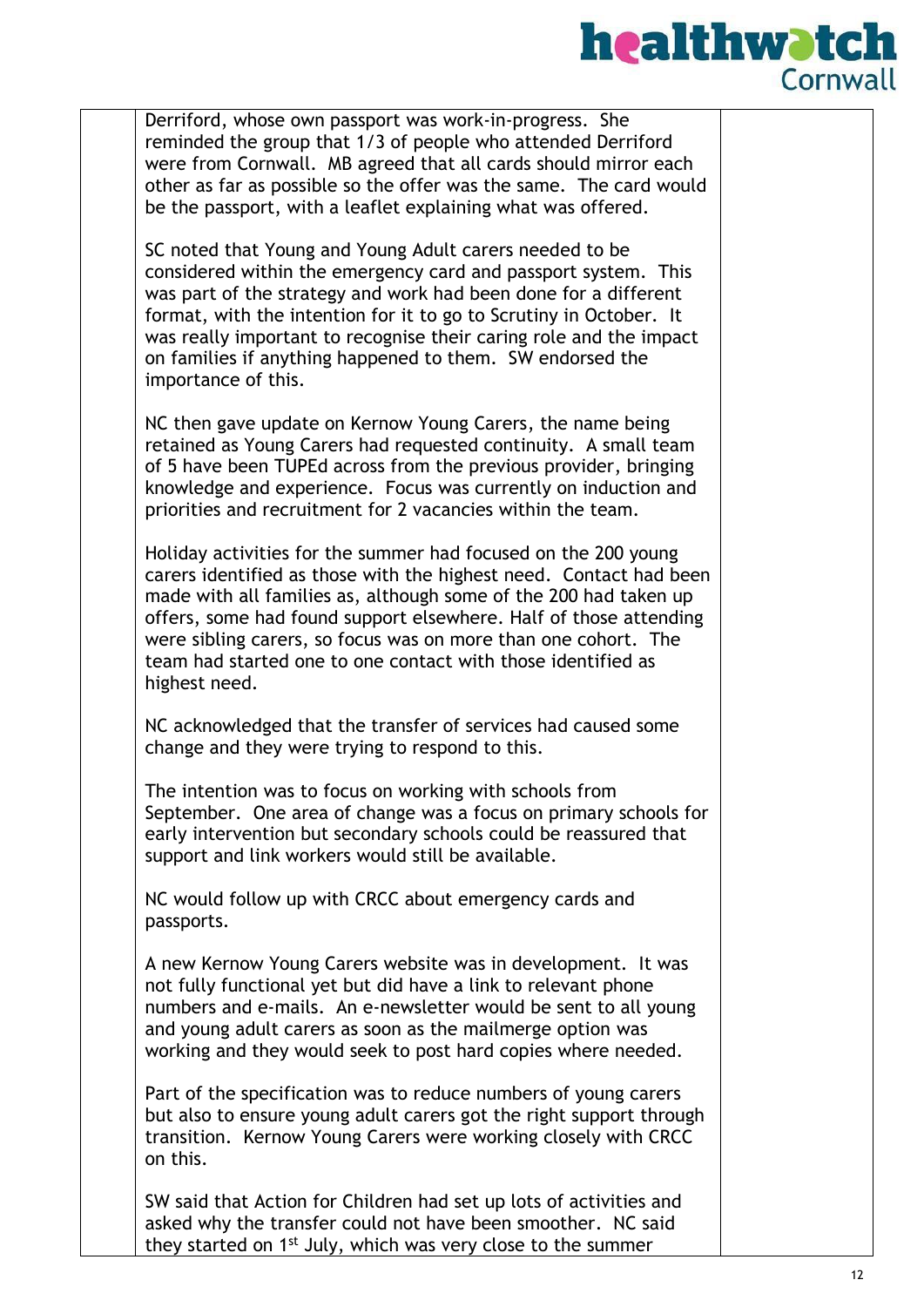

Derriford, whose own passport was work-in-progress. She reminded the group that 1/3 of people who attended Derriford were from Cornwall. MB agreed that all cards should mirror each other as far as possible so the offer was the same. The card would be the passport, with a leaflet explaining what was offered.

SC noted that Young and Young Adult carers needed to be considered within the emergency card and passport system. This was part of the strategy and work had been done for a different format, with the intention for it to go to Scrutiny in October. It was really important to recognise their caring role and the impact on families if anything happened to them. SW endorsed the importance of this.

NC then gave update on Kernow Young Carers, the name being retained as Young Carers had requested continuity. A small team of 5 have been TUPEd across from the previous provider, bringing knowledge and experience. Focus was currently on induction and priorities and recruitment for 2 vacancies within the team.

Holiday activities for the summer had focused on the 200 young carers identified as those with the highest need. Contact had been made with all families as, although some of the 200 had taken up offers, some had found support elsewhere. Half of those attending were sibling carers, so focus was on more than one cohort. The team had started one to one contact with those identified as highest need.

NC acknowledged that the transfer of services had caused some change and they were trying to respond to this.

The intention was to focus on working with schools from September. One area of change was a focus on primary schools for early intervention but secondary schools could be reassured that support and link workers would still be available.

NC would follow up with CRCC about emergency cards and passports.

A new Kernow Young Carers website was in development. It was not fully functional yet but did have a link to relevant phone numbers and e-mails. An e-newsletter would be sent to all young and young adult carers as soon as the mailmerge option was working and they would seek to post hard copies where needed.

Part of the specification was to reduce numbers of young carers but also to ensure young adult carers got the right support through transition. Kernow Young Carers were working closely with CRCC on this.

SW said that Action for Children had set up lots of activities and asked why the transfer could not have been smoother. NC said they started on 1<sup>st</sup> July, which was very close to the summer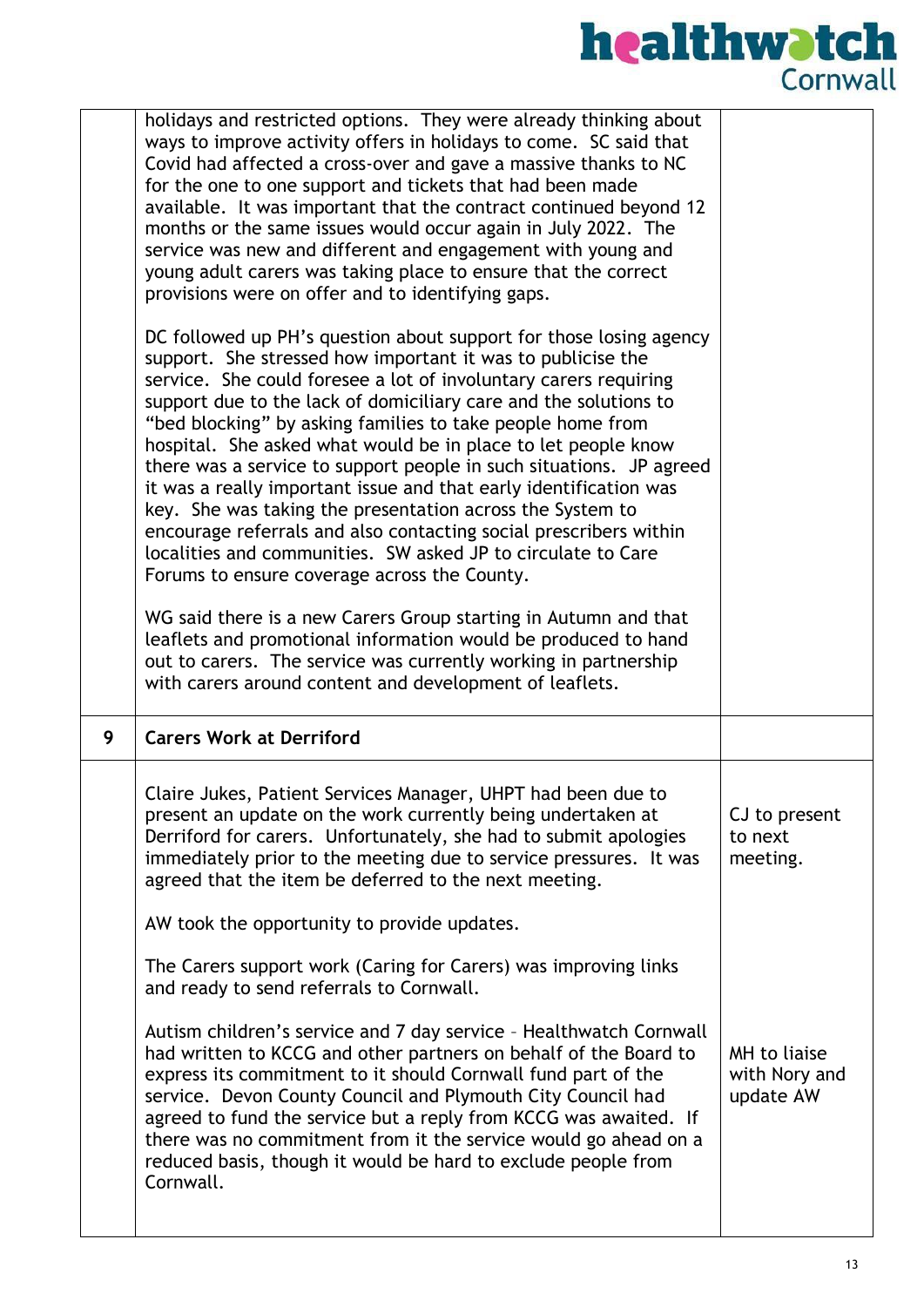|   | holidays and restricted options. They were already thinking about<br>ways to improve activity offers in holidays to come. SC said that<br>Covid had affected a cross-over and gave a massive thanks to NC<br>for the one to one support and tickets that had been made<br>available. It was important that the contract continued beyond 12<br>months or the same issues would occur again in July 2022. The<br>service was new and different and engagement with young and<br>young adult carers was taking place to ensure that the correct<br>provisions were on offer and to identifying gaps.                                                                                                                                                                                                     |                                            |
|---|--------------------------------------------------------------------------------------------------------------------------------------------------------------------------------------------------------------------------------------------------------------------------------------------------------------------------------------------------------------------------------------------------------------------------------------------------------------------------------------------------------------------------------------------------------------------------------------------------------------------------------------------------------------------------------------------------------------------------------------------------------------------------------------------------------|--------------------------------------------|
|   | DC followed up PH's question about support for those losing agency<br>support. She stressed how important it was to publicise the<br>service. She could foresee a lot of involuntary carers requiring<br>support due to the lack of domiciliary care and the solutions to<br>"bed blocking" by asking families to take people home from<br>hospital. She asked what would be in place to let people know<br>there was a service to support people in such situations. JP agreed<br>it was a really important issue and that early identification was<br>key. She was taking the presentation across the System to<br>encourage referrals and also contacting social prescribers within<br>localities and communities. SW asked JP to circulate to Care<br>Forums to ensure coverage across the County. |                                            |
|   | WG said there is a new Carers Group starting in Autumn and that<br>leaflets and promotional information would be produced to hand                                                                                                                                                                                                                                                                                                                                                                                                                                                                                                                                                                                                                                                                      |                                            |
|   | out to carers. The service was currently working in partnership<br>with carers around content and development of leaflets.                                                                                                                                                                                                                                                                                                                                                                                                                                                                                                                                                                                                                                                                             |                                            |
| 9 | <b>Carers Work at Derriford</b>                                                                                                                                                                                                                                                                                                                                                                                                                                                                                                                                                                                                                                                                                                                                                                        |                                            |
|   | Claire Jukes, Patient Services Manager, UHPT had been due to<br>present an update on the work currently being undertaken at<br>Derriford for carers. Unfortunately, she had to submit apologies<br>immediately prior to the meeting due to service pressures. It was<br>agreed that the item be deferred to the next meeting.                                                                                                                                                                                                                                                                                                                                                                                                                                                                          | CJ to present<br>to next<br>meeting.       |
|   | AW took the opportunity to provide updates.                                                                                                                                                                                                                                                                                                                                                                                                                                                                                                                                                                                                                                                                                                                                                            |                                            |
|   | The Carers support work (Caring for Carers) was improving links<br>and ready to send referrals to Cornwall.                                                                                                                                                                                                                                                                                                                                                                                                                                                                                                                                                                                                                                                                                            |                                            |
|   | Autism children's service and 7 day service - Healthwatch Cornwall<br>had written to KCCG and other partners on behalf of the Board to<br>express its commitment to it should Cornwall fund part of the<br>service. Devon County Council and Plymouth City Council had<br>agreed to fund the service but a reply from KCCG was awaited. If<br>there was no commitment from it the service would go ahead on a<br>reduced basis, though it would be hard to exclude people from<br>Cornwall.                                                                                                                                                                                                                                                                                                            | MH to liaise<br>with Nory and<br>update AW |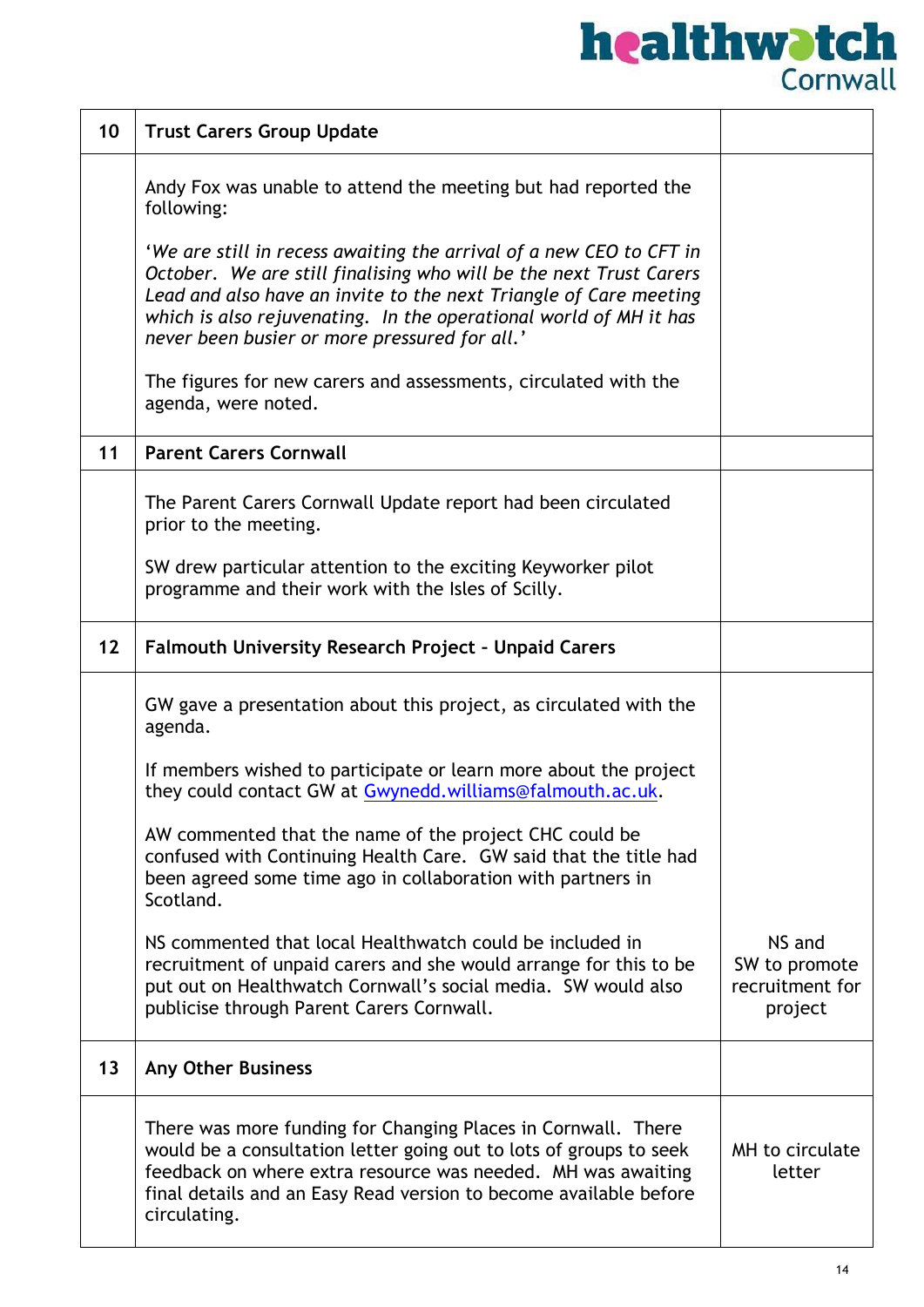| 10 | <b>Trust Carers Group Update</b>                                                                                                                                                                                                                                                                                                     |                                                       |
|----|--------------------------------------------------------------------------------------------------------------------------------------------------------------------------------------------------------------------------------------------------------------------------------------------------------------------------------------|-------------------------------------------------------|
|    | Andy Fox was unable to attend the meeting but had reported the<br>following:                                                                                                                                                                                                                                                         |                                                       |
|    | 'We are still in recess awaiting the arrival of a new CEO to CFT in<br>October. We are still finalising who will be the next Trust Carers<br>Lead and also have an invite to the next Triangle of Care meeting<br>which is also rejuvenating. In the operational world of MH it has<br>never been busier or more pressured for all.' |                                                       |
|    | The figures for new carers and assessments, circulated with the<br>agenda, were noted.                                                                                                                                                                                                                                               |                                                       |
| 11 | <b>Parent Carers Cornwall</b>                                                                                                                                                                                                                                                                                                        |                                                       |
|    | The Parent Carers Cornwall Update report had been circulated<br>prior to the meeting.                                                                                                                                                                                                                                                |                                                       |
|    | SW drew particular attention to the exciting Keyworker pilot<br>programme and their work with the Isles of Scilly.                                                                                                                                                                                                                   |                                                       |
| 12 | Falmouth University Research Project - Unpaid Carers                                                                                                                                                                                                                                                                                 |                                                       |
|    | GW gave a presentation about this project, as circulated with the<br>agenda.                                                                                                                                                                                                                                                         |                                                       |
|    | If members wished to participate or learn more about the project<br>they could contact GW at Gwynedd.williams@falmouth.ac.uk.                                                                                                                                                                                                        |                                                       |
|    | AW commented that the name of the project CHC could be<br>confused with Continuing Health Care. GW said that the title had<br>been agreed some time ago in collaboration with partners in<br>Scotland.                                                                                                                               |                                                       |
|    | NS commented that local Healthwatch could be included in<br>recruitment of unpaid carers and she would arrange for this to be<br>put out on Healthwatch Cornwall's social media. SW would also<br>publicise through Parent Carers Cornwall.                                                                                          | NS and<br>SW to promote<br>recruitment for<br>project |
| 13 | <b>Any Other Business</b>                                                                                                                                                                                                                                                                                                            |                                                       |
|    | There was more funding for Changing Places in Cornwall. There<br>would be a consultation letter going out to lots of groups to seek<br>feedback on where extra resource was needed. MH was awaiting<br>final details and an Easy Read version to become available before<br>circulating.                                             | MH to circulate<br>letter                             |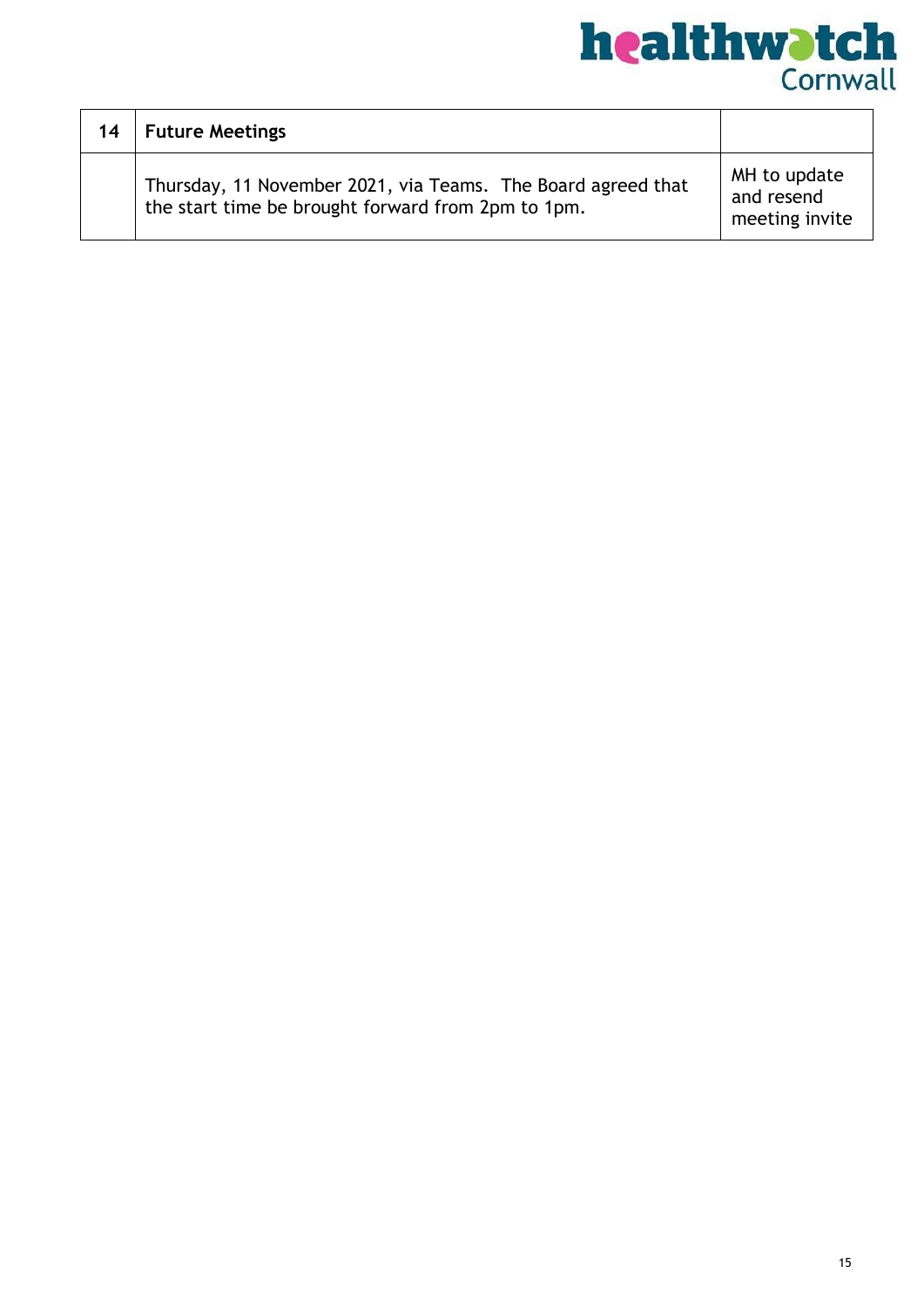

| 14 | <b>Future Meetings</b>                                                                                             |                                              |
|----|--------------------------------------------------------------------------------------------------------------------|----------------------------------------------|
|    | Thursday, 11 November 2021, via Teams. The Board agreed that<br>the start time be brought forward from 2pm to 1pm. | MH to update<br>and resend<br>meeting invite |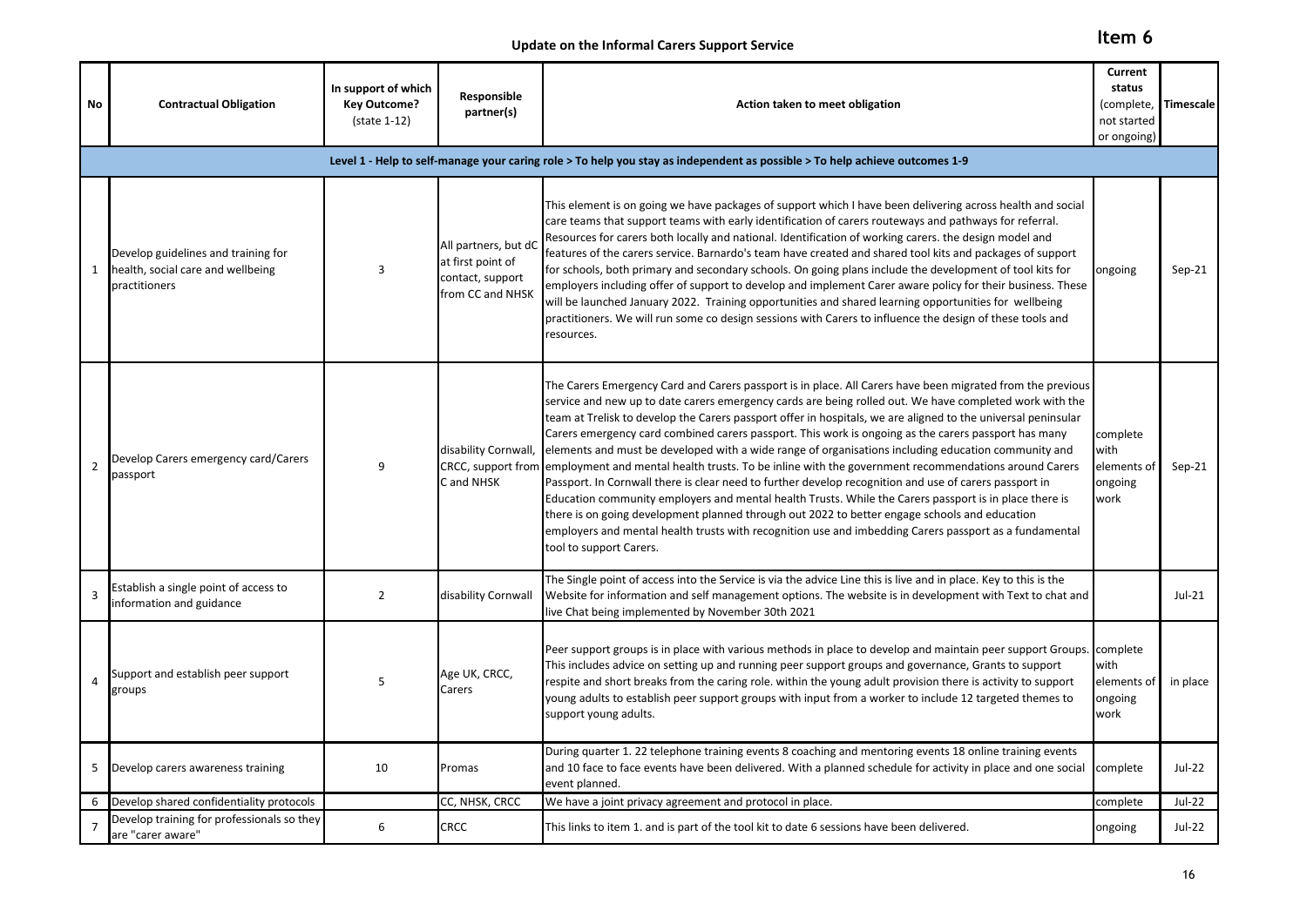**Item 6**

**Update on the Informal Carers Support Service**

| No                                                                                                                          | <b>Contractual Obligation</b>                                                             | In support of which<br><b>Key Outcome?</b><br>(state 1-12) | Responsible<br>partner(s)                                                         | Action taken to meet obligation                                                                                                                                                                                                                                                                                                                                                                                                                                                                                                                                                                                                                                                                                                                                                                                                                                                                                                                                                                                                                                                                                        | Current<br>status<br>(complete,<br>not started<br>or ongoing) | Timescale     |  |  |  |  |  |  |
|-----------------------------------------------------------------------------------------------------------------------------|-------------------------------------------------------------------------------------------|------------------------------------------------------------|-----------------------------------------------------------------------------------|------------------------------------------------------------------------------------------------------------------------------------------------------------------------------------------------------------------------------------------------------------------------------------------------------------------------------------------------------------------------------------------------------------------------------------------------------------------------------------------------------------------------------------------------------------------------------------------------------------------------------------------------------------------------------------------------------------------------------------------------------------------------------------------------------------------------------------------------------------------------------------------------------------------------------------------------------------------------------------------------------------------------------------------------------------------------------------------------------------------------|---------------------------------------------------------------|---------------|--|--|--|--|--|--|
| Level 1 - Help to self-manage your caring role > To help you stay as independent as possible > To help achieve outcomes 1-9 |                                                                                           |                                                            |                                                                                   |                                                                                                                                                                                                                                                                                                                                                                                                                                                                                                                                                                                                                                                                                                                                                                                                                                                                                                                                                                                                                                                                                                                        |                                                               |               |  |  |  |  |  |  |
| $\mathbf{1}$                                                                                                                | Develop guidelines and training for<br>health, social care and wellbeing<br>practitioners | 3                                                          | All partners, but dC<br>at first point of<br>contact, support<br>from CC and NHSK | This element is on going we have packages of support which I have been delivering across health and social<br>care teams that support teams with early identification of carers routeways and pathways for referral.<br>Resources for carers both locally and national. Identification of working carers. the design model and<br>features of the carers service. Barnardo's team have created and shared tool kits and packages of support<br>for schools, both primary and secondary schools. On going plans include the development of tool kits for<br>employers including offer of support to develop and implement Carer aware policy for their business. These<br>will be launched January 2022. Training opportunities and shared learning opportunities for wellbeing<br>practitioners. We will run some co design sessions with Carers to influence the design of these tools and<br>resources.                                                                                                                                                                                                              | ongoing                                                       | $Sep-21$      |  |  |  |  |  |  |
| $\overline{2}$                                                                                                              | Develop Carers emergency card/Carers<br>passport                                          | 9                                                          | disability Cornwall,<br>CRCC, support from<br>C and NHSK                          | The Carers Emergency Card and Carers passport is in place. All Carers have been migrated from the previous<br>service and new up to date carers emergency cards are being rolled out. We have completed work with the<br>team at Trelisk to develop the Carers passport offer in hospitals, we are aligned to the universal peninsular<br>Carers emergency card combined carers passport. This work is ongoing as the carers passport has many<br>elements and must be developed with a wide range of organisations including education community and<br>employment and mental health trusts. To be inline with the government recommendations around Carers<br>Passport. In Cornwall there is clear need to further develop recognition and use of carers passport in<br>Education community employers and mental health Trusts. While the Carers passport is in place there is<br>there is on going development planned through out 2022 to better engage schools and education<br>employers and mental health trusts with recognition use and imbedding Carers passport as a fundamental<br>tool to support Carers. | complete<br>with<br>elements of<br>ongoing<br>work            | $Sep-21$      |  |  |  |  |  |  |
| 3                                                                                                                           | Establish a single point of access to<br>information and guidance                         | $\overline{2}$                                             | disability Cornwall                                                               | The Single point of access into the Service is via the advice Line this is live and in place. Key to this is the<br>Website for information and self management options. The website is in development with Text to chat and<br>live Chat being implemented by November 30th 2021                                                                                                                                                                                                                                                                                                                                                                                                                                                                                                                                                                                                                                                                                                                                                                                                                                      |                                                               | $Jul-21$      |  |  |  |  |  |  |
| 4                                                                                                                           | Support and establish peer support<br>groups                                              | 5                                                          | Age UK, CRCC,<br>Carers                                                           | Peer support groups is in place with various methods in place to develop and maintain peer support Groups.<br>This includes advice on setting up and running peer support groups and governance, Grants to support<br>respite and short breaks from the caring role. within the young adult provision there is activity to support<br>young adults to establish peer support groups with input from a worker to include 12 targeted themes to<br>support young adults.                                                                                                                                                                                                                                                                                                                                                                                                                                                                                                                                                                                                                                                 | complete<br>with<br>elements of<br>ongoing<br>work            | in place      |  |  |  |  |  |  |
| 5                                                                                                                           | Develop carers awareness training                                                         | 10                                                         | Promas                                                                            | During quarter 1. 22 telephone training events 8 coaching and mentoring events 18 online training events<br>and 10 face to face events have been delivered. With a planned schedule for activity in place and one social<br>event planned.                                                                                                                                                                                                                                                                                                                                                                                                                                                                                                                                                                                                                                                                                                                                                                                                                                                                             | complete                                                      | Jul-22        |  |  |  |  |  |  |
| 6                                                                                                                           | Develop shared confidentiality protocols                                                  |                                                            | CC, NHSK, CRCC                                                                    | We have a joint privacy agreement and protocol in place.                                                                                                                                                                                                                                                                                                                                                                                                                                                                                                                                                                                                                                                                                                                                                                                                                                                                                                                                                                                                                                                               | complete                                                      | <b>Jul-22</b> |  |  |  |  |  |  |
| 7                                                                                                                           | Develop training for professionals so they<br>are "carer aware"                           | 6                                                          | <b>CRCC</b>                                                                       | This links to item 1. and is part of the tool kit to date 6 sessions have been delivered.                                                                                                                                                                                                                                                                                                                                                                                                                                                                                                                                                                                                                                                                                                                                                                                                                                                                                                                                                                                                                              | ongoing                                                       | Jul-22        |  |  |  |  |  |  |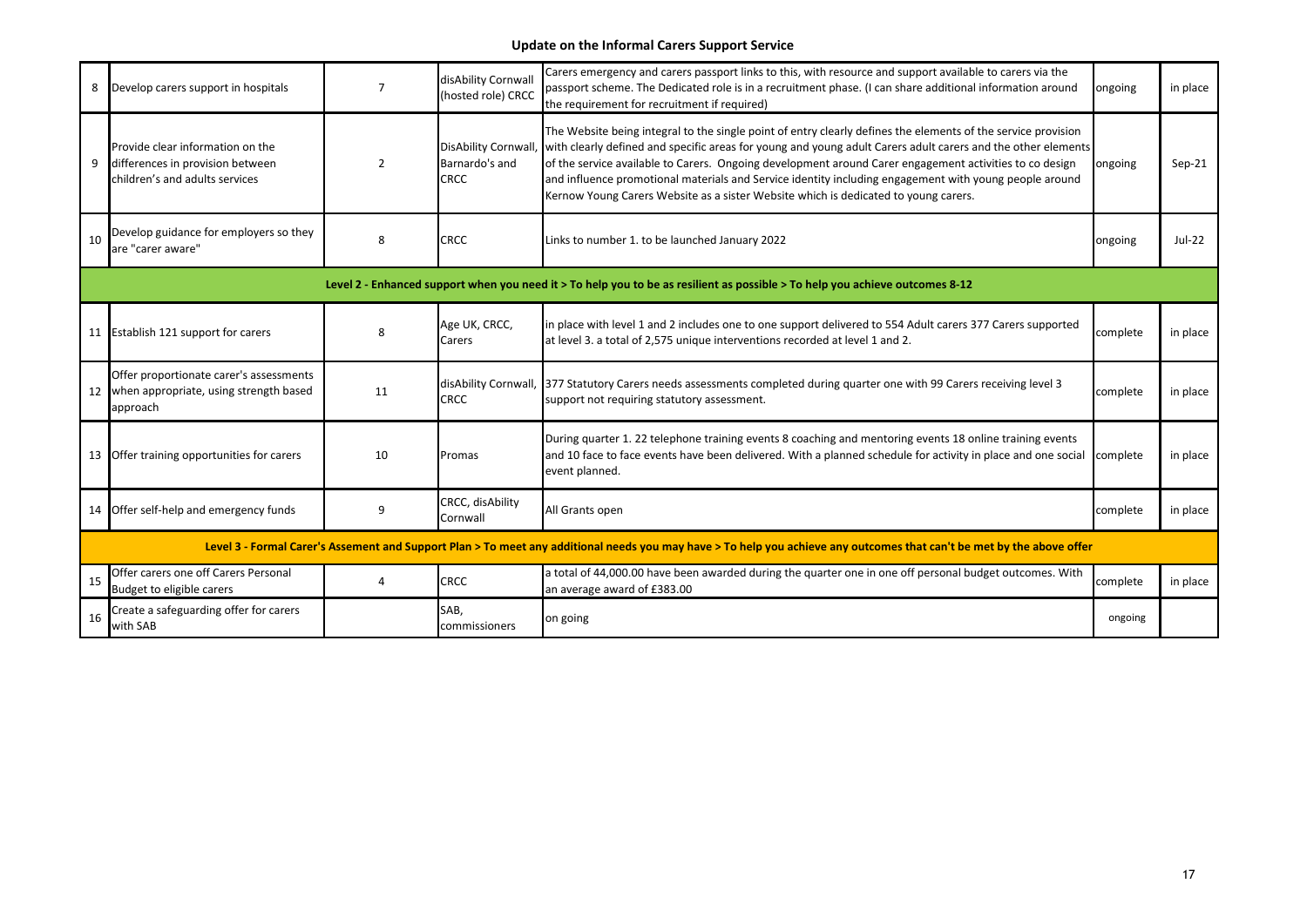#### **Update on the Informal Carers Support Service**

| 8  | Develop carers support in hospitals                                                                    | $\overline{7}$ | disAbility Cornwall<br>(hosted role) CRCC                   | Carers emergency and carers passport links to this, with resource and support available to carers via the<br>passport scheme. The Dedicated role is in a recruitment phase. (I can share additional information around<br>the requirement for recruitment if required)                                                                                                                                                                                                                                                                    | ongoing  | in place |
|----|--------------------------------------------------------------------------------------------------------|----------------|-------------------------------------------------------------|-------------------------------------------------------------------------------------------------------------------------------------------------------------------------------------------------------------------------------------------------------------------------------------------------------------------------------------------------------------------------------------------------------------------------------------------------------------------------------------------------------------------------------------------|----------|----------|
| 9  | Provide clear information on the<br>differences in provision between<br>children's and adults services | $\overline{2}$ | <b>DisAbility Cornwall</b><br>Barnardo's and<br><b>CRCC</b> | The Website being integral to the single point of entry clearly defines the elements of the service provision<br>with clearly defined and specific areas for young and young adult Carers adult carers and the other elements<br>of the service available to Carers. Ongoing development around Carer engagement activities to co design<br>and influence promotional materials and Service identity including engagement with young people around<br>Kernow Young Carers Website as a sister Website which is dedicated to young carers. | ongoing  | $Sep-21$ |
| 10 | Develop guidance for employers so they<br>are "carer aware"                                            | 8              | <b>CRCC</b>                                                 | Links to number 1. to be launched January 2022                                                                                                                                                                                                                                                                                                                                                                                                                                                                                            | ongoing  | Jul-22   |
|    |                                                                                                        |                |                                                             | Level 2 - Enhanced support when you need it > To help you to be as resilient as possible > To help you achieve outcomes 8-12                                                                                                                                                                                                                                                                                                                                                                                                              |          |          |
|    | 11 Establish 121 support for carers                                                                    | 8              | Age UK, CRCC,<br>Carers                                     | in place with level 1 and 2 includes one to one support delivered to 554 Adult carers 377 Carers supported<br>at level 3. a total of 2,575 unique interventions recorded at level 1 and 2.                                                                                                                                                                                                                                                                                                                                                | complete | in place |
| 12 | Offer proportionate carer's assessments<br>when appropriate, using strength based<br>approach          | 11             | disAbility Cornwall,<br><b>CRCC</b>                         | 377 Statutory Carers needs assessments completed during quarter one with 99 Carers receiving level 3<br>support not requiring statutory assessment.                                                                                                                                                                                                                                                                                                                                                                                       | complete | in place |
|    | 13 Offer training opportunities for carers                                                             | 10             | Promas                                                      | During quarter 1. 22 telephone training events 8 coaching and mentoring events 18 online training events<br>and 10 face to face events have been delivered. With a planned schedule for activity in place and one social<br>event planned.                                                                                                                                                                                                                                                                                                | complete | in place |
| 14 | Offer self-help and emergency funds                                                                    | q              | CRCC, disAbility<br>Cornwall                                | All Grants open                                                                                                                                                                                                                                                                                                                                                                                                                                                                                                                           | complete | in place |
|    |                                                                                                        |                |                                                             | Level 3 - Formal Carer's Assement and Support Plan > To meet any additional needs you may have > To help you achieve any outcomes that can't be met by the above offer                                                                                                                                                                                                                                                                                                                                                                    |          |          |
| 15 | Offer carers one off Carers Personal<br>Budget to eligible carers                                      | $\overline{a}$ | <b>CRCC</b>                                                 | a total of 44,000.00 have been awarded during the quarter one in one off personal budget outcomes. With<br>an average award of £383.00                                                                                                                                                                                                                                                                                                                                                                                                    | complete | in place |
| 16 | Create a safeguarding offer for carers<br>with SAB                                                     |                | SAB,<br>commissioners                                       | on going                                                                                                                                                                                                                                                                                                                                                                                                                                                                                                                                  | ongoing  |          |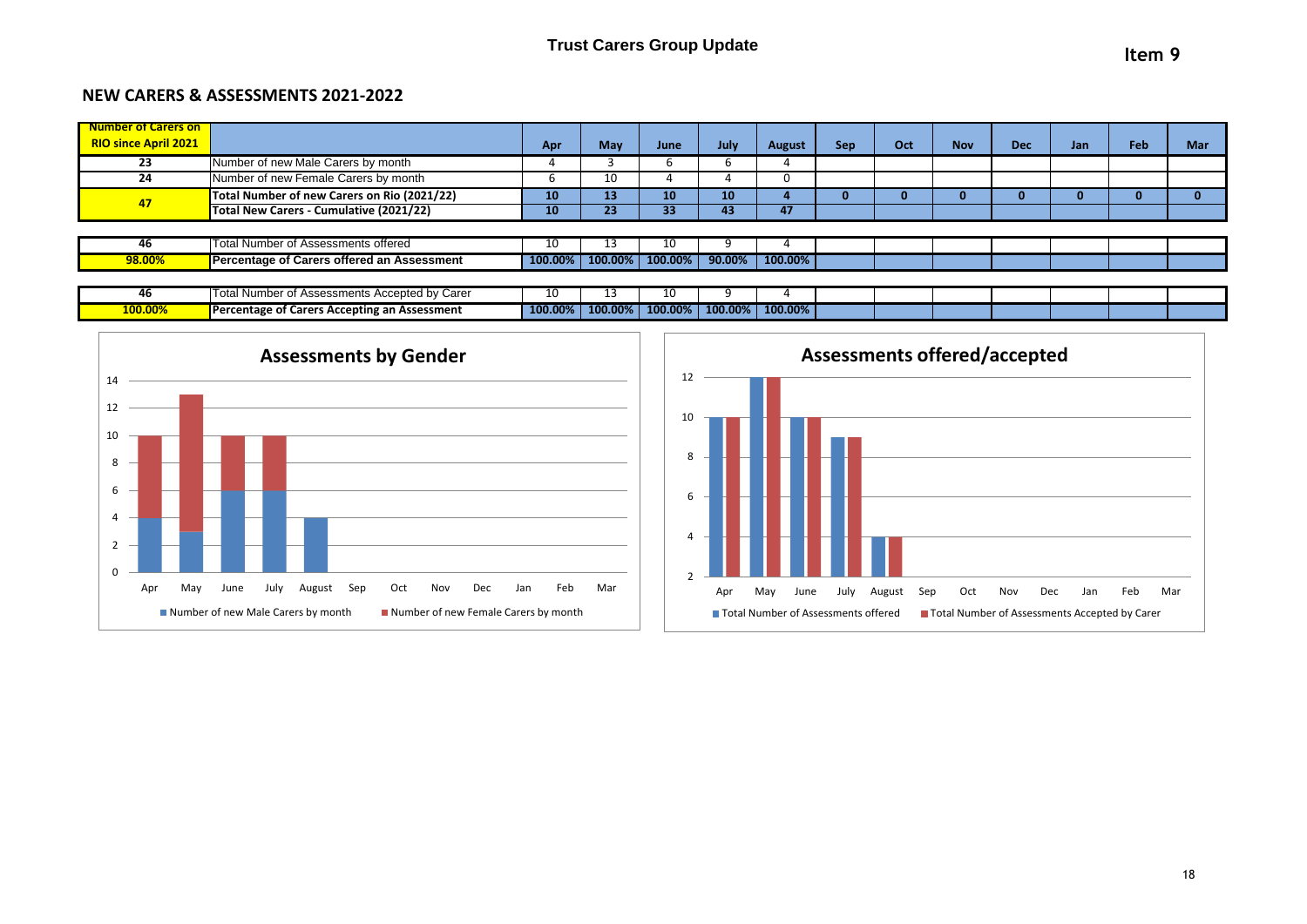#### **NEW CARERS & ASSESSMENTS 2021-2022**

| Number of Carers on                      |                                             |         |         |         |        |               |            |     |            |            |     |     |     |
|------------------------------------------|---------------------------------------------|---------|---------|---------|--------|---------------|------------|-----|------------|------------|-----|-----|-----|
| <b>RIO since April 2021</b>              |                                             | Apr     | May     | June    | July   | <b>August</b> | <b>Sep</b> | Oct | <b>Nov</b> | <b>Dec</b> | Jan | Feb | Mar |
| Number of new Male Carers by month<br>23 |                                             |         |         | O       |        |               |            |     |            |            |     |     |     |
| 24                                       | Number of new Female Carers by month        |         | 10      |         |        | U             |            |     |            |            |     |     |     |
| 47                                       | Total Number of new Carers on Rio (2021/22) | 10      | 13      | 10      | 10     |               |            |     |            |            |     |     |     |
|                                          | Total New Carers - Cumulative (2021/22)     | 10      | 23      | 33      | 43     | 47            |            |     |            |            |     |     |     |
|                                          |                                             |         |         |         |        |               |            |     |            |            |     |     |     |
| 46                                       | Total Number of Assessments offered         | 10      | 13      | 1U.     |        |               |            |     |            |            |     |     |     |
| 98.00%                                   | Percentage of Carers offered an Assessment  | 100.00% | 100.00% | 100.00% | 90.00% | 100.00%       |            |     |            |            |     |     |     |
|                                          |                                             |         |         |         |        |               |            |     |            |            |     |     |     |

| <br>40  | I Assessments Accepted by Carer.<br>्चा inuffitut. | 10      |         |         |         |         |  |  |  |  |
|---------|----------------------------------------------------|---------|---------|---------|---------|---------|--|--|--|--|
| 100.00% | Percentage of Carers Accepting an Assessment       | 100.00% | 100.00% | 100.00% | 100.00% | 100.00% |  |  |  |  |